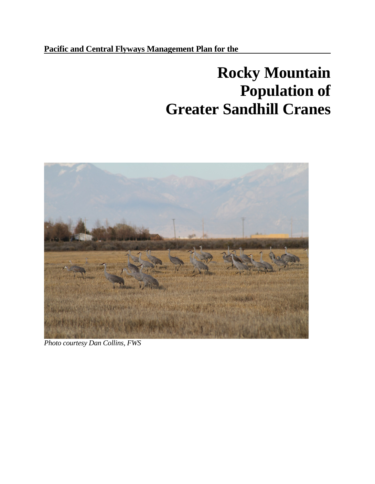# **Pacific and Central Flyways Management Plan for the**

# **Rocky Mountain Population of Greater Sandhill Cranes**



*Photo courtesy Dan Collins, FWS*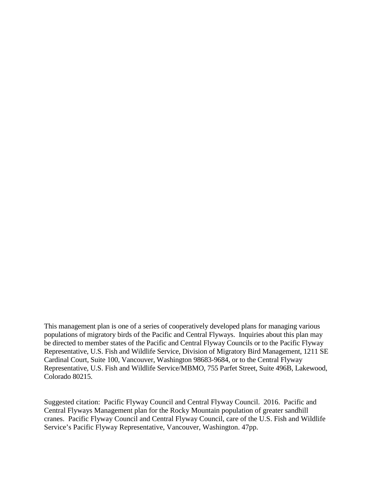This management plan is one of a series of cooperatively developed plans for managing various populations of migratory birds of the Pacific and Central Flyways. Inquiries about this plan may be directed to member states of the Pacific and Central Flyway Councils or to the Pacific Flyway Representative, U.S. Fish and Wildlife Service, Division of Migratory Bird Management, 1211 SE Cardinal Court, Suite 100, Vancouver, Washington 98683-9684, or to the Central Flyway Representative, U.S. Fish and Wildlife Service/MBMO, 755 Parfet Street, Suite 496B, Lakewood, Colorado 80215.

Suggested citation: Pacific Flyway Council and Central Flyway Council. 2016. Pacific and Central Flyways Management plan for the Rocky Mountain population of greater sandhill cranes. Pacific Flyway Council and Central Flyway Council, care of the U.S. Fish and Wildlife Service's Pacific Flyway Representative, Vancouver, Washington. 47pp.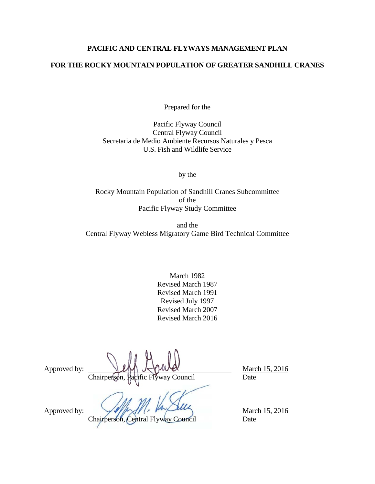# **PACIFIC AND CENTRAL FLYWAYS MANAGEMENT PLAN**

# **FOR THE ROCKY MOUNTAIN POPULATION OF GREATER SANDHILL CRANES**

Prepared for the

Pacific Flyway Council Central Flyway Council Secretaria de Medio Ambiente Recursos Naturales y Pesca U.S. Fish and Wildlife Service

by the

Rocky Mountain Population of Sandhill Cranes Subcommittee of the Pacific Flyway Study Committee

and the Central Flyway Webless Migratory Game Bird Technical Committee

> March 1982 Revised March 1987 Revised March 1991 Revised July 1997 Revised March 2007 Revised March 2016

Approved by:  $\bigcup_{\mathcal{U}} \bigcup_{\mathcal{U}} \bigcup_{\mathcal{U}} \bigcup_{\mathcal{U}} \bigcup_{\mathcal{U}} \bigcup_{\mathcal{U}} \bigcup_{\mathcal{U}} \bigcup_{\mathcal{U}} \bigcup_{\mathcal{U}} \bigcup_{\mathcal{U}} \bigcup_{\mathcal{U}} \bigcup_{\mathcal{U}} \bigcup_{\mathcal{U}} \bigcup_{\mathcal{U}} \bigcup_{\mathcal{U}} \bigcup_{\mathcal{U}} \bigcup_{\mathcal{U}} \bigcup_{\mathcal{U}} \bigcup_{\mathcal{U}} \bigcup_{\mathcal{U}} \bigcup_{\mathcal$ Chairperson, Pacific Flyway Council Date

Approved by:  $\sqrt{\frac{m}{2}}$  March 15, 2016

Chairperson, Central Flyway Council Date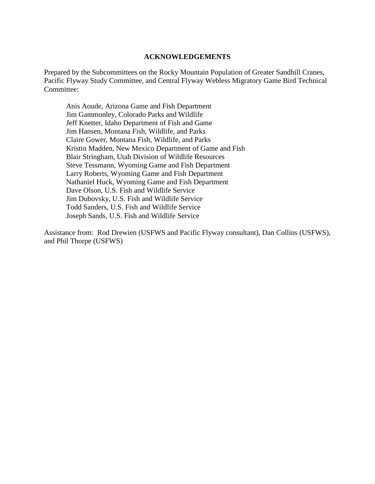#### **ACKNOWLEDGEMENTS**

<span id="page-3-0"></span>Prepared by the Subcommittees on the Rocky Mountain Population of Greater Sandhill Cranes, Pacific Flyway Study Committee, and Central Flyway Webless Migratory Game Bird Technical Committee:

Anis Aoude, Arizona Game and Fish Department Jim Gammonley, Colorado Parks and Wildlife Jeff Knetter, Idaho Department of Fish and Game Jim Hansen, Montana Fish, Wildlife, and Parks Claire Gower, Montana Fish, Wildlife, and Parks Kristin Madden, New Mexico Department of Game and Fish Blair Stringham, Utah Division of Wildlife Resources Steve Tessmann, Wyoming Game and Fish Department Larry Roberts, Wyoming Game and Fish Department Nathaniel Huck, Wyoming Game and Fish Department Dave Olson, U.S. Fish and Wildlife Service Jim Dubovsky, U.S. Fish and Wildlife Service Todd Sanders, U.S. Fish and Wildlife Service Joseph Sands, U.S. Fish and Wildlife Service

Assistance from: Rod Drewien (USFWS and Pacific Flyway consultant), Dan Collins (USFWS), and Phil Thorpe (USFWS)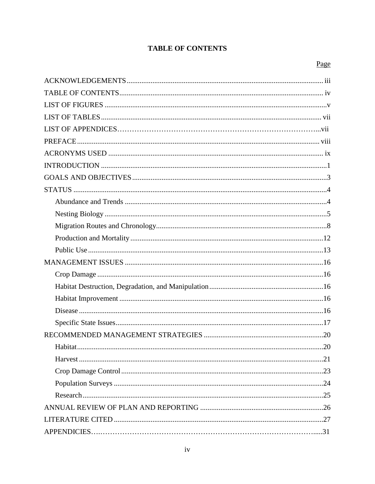# **TABLE OF CONTENTS**

# Page

<span id="page-4-0"></span>

| Habitat |  |
|---------|--|
|         |  |
|         |  |
|         |  |
|         |  |
|         |  |
|         |  |
|         |  |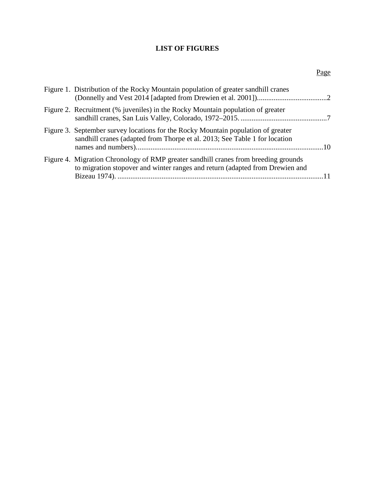# **LIST OF FIGURES**

<span id="page-5-0"></span>

| sandhill cranes (adapted from Thorpe et al. 2013; See Table 1 for location   |                                                                                                                                                                                                                                                                                                                                                   |
|------------------------------------------------------------------------------|---------------------------------------------------------------------------------------------------------------------------------------------------------------------------------------------------------------------------------------------------------------------------------------------------------------------------------------------------|
| to migration stopover and winter ranges and return (adapted from Drewien and |                                                                                                                                                                                                                                                                                                                                                   |
|                                                                              | Figure 1. Distribution of the Rocky Mountain population of greater sandhill cranes<br>Figure 2. Recruitment (% juveniles) in the Rocky Mountain population of greater<br>Figure 3. September survey locations for the Rocky Mountain population of greater<br>Figure 4. Migration Chronology of RMP greater sandhill cranes from breeding grounds |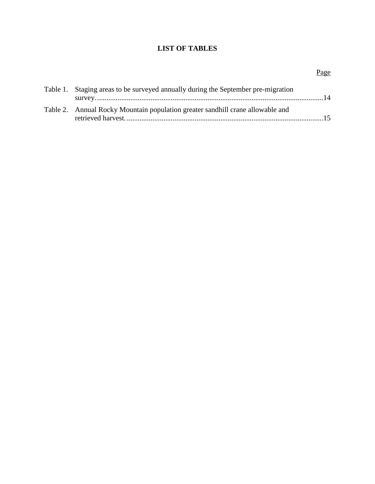# **LIST OF TABLES**

# Page

<span id="page-6-0"></span>

| Table 1. Staging areas to be surveyed annually during the September pre-migration |  |
|-----------------------------------------------------------------------------------|--|
| Table 2. Annual Rocky Mountain population greater sandhill crane allowable and    |  |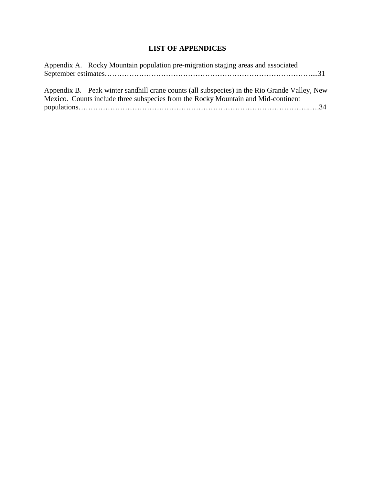# **LIST OF APPENDICES**

| Appendix A. Rocky Mountain population pre-migration staging areas and associated             |
|----------------------------------------------------------------------------------------------|
|                                                                                              |
|                                                                                              |
| Appendix B. Peak winter sandhill crane counts (all subspecies) in the Rio Grande Valley, New |
| Mexico. Counts include three subspecies from the Rocky Mountain and Mid-continent            |
|                                                                                              |
|                                                                                              |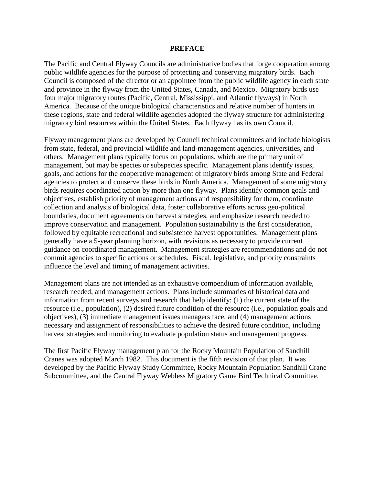#### **PREFACE**

<span id="page-8-0"></span>The Pacific and Central Flyway Councils are administrative bodies that forge cooperation among public wildlife agencies for the purpose of protecting and conserving migratory birds. Each Council is composed of the director or an appointee from the public wildlife agency in each state and province in the flyway from the United States, Canada, and Mexico. Migratory birds use four major migratory routes (Pacific, Central, Mississippi, and Atlantic flyways) in North America. Because of the unique biological characteristics and relative number of hunters in these regions, state and federal wildlife agencies adopted the flyway structure for administering migratory bird resources within the United States. Each flyway has its own Council.

Flyway management plans are developed by Council technical committees and include biologists from state, federal, and provincial wildlife and land-management agencies, universities, and others. Management plans typically focus on populations, which are the primary unit of management, but may be species or subspecies specific. Management plans identify issues, goals, and actions for the cooperative management of migratory birds among State and Federal agencies to protect and conserve these birds in North America. Management of some migratory birds requires coordinated action by more than one flyway. Plans identify common goals and objectives, establish priority of management actions and responsibility for them, coordinate collection and analysis of biological data, foster collaborative efforts across geo-political boundaries, document agreements on harvest strategies, and emphasize research needed to improve conservation and management. Population sustainability is the first consideration, followed by equitable recreational and subsistence harvest opportunities. Management plans generally have a 5-year planning horizon, with revisions as necessary to provide current guidance on coordinated management. Management strategies are recommendations and do not commit agencies to specific actions or schedules. Fiscal, legislative, and priority constraints influence the level and timing of management activities.

Management plans are not intended as an exhaustive compendium of information available, research needed, and management actions. Plans include summaries of historical data and information from recent surveys and research that help identify: (1) the current state of the resource (i.e., population), (2) desired future condition of the resource (i.e., population goals and objectives), (3) immediate management issues managers face, and (4) management actions necessary and assignment of responsibilities to achieve the desired future condition, including harvest strategies and monitoring to evaluate population status and management progress.

The first Pacific Flyway management plan for the Rocky Mountain Population of Sandhill Cranes was adopted March 1982. This document is the fifth revision of that plan. It was developed by the Pacific Flyway Study Committee, Rocky Mountain Population Sandhill Crane Subcommittee, and the Central Flyway Webless Migratory Game Bird Technical Committee.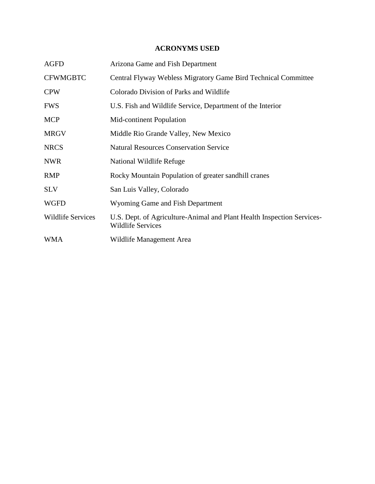# **ACRONYMS USED**

<span id="page-9-0"></span>

| <b>AGFD</b>              | Arizona Game and Fish Department                                                                   |
|--------------------------|----------------------------------------------------------------------------------------------------|
| <b>CFWMGBTC</b>          | Central Flyway Webless Migratory Game Bird Technical Committee                                     |
| <b>CPW</b>               | Colorado Division of Parks and Wildlife                                                            |
| <b>FWS</b>               | U.S. Fish and Wildlife Service, Department of the Interior                                         |
| <b>MCP</b>               | Mid-continent Population                                                                           |
| <b>MRGV</b>              | Middle Rio Grande Valley, New Mexico                                                               |
| <b>NRCS</b>              | <b>Natural Resources Conservation Service</b>                                                      |
| <b>NWR</b>               | National Wildlife Refuge                                                                           |
| <b>RMP</b>               | Rocky Mountain Population of greater sandhill cranes                                               |
| <b>SLV</b>               | San Luis Valley, Colorado                                                                          |
| <b>WGFD</b>              | Wyoming Game and Fish Department                                                                   |
| <b>Wildlife Services</b> | U.S. Dept. of Agriculture-Animal and Plant Health Inspection Services-<br><b>Wildlife Services</b> |
| WMA                      | Wildlife Management Area                                                                           |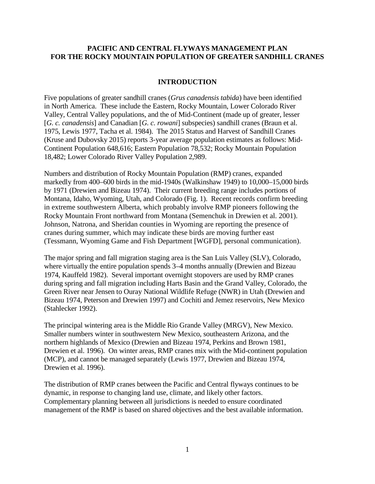## **PACIFIC AND CENTRAL FLYWAYS MANAGEMENT PLAN FOR THE ROCKY MOUNTAIN POPULATION OF GREATER SANDHILL CRANES**

#### **INTRODUCTION**

<span id="page-10-0"></span>Five populations of greater sandhill cranes (*Grus canadensis tabida*) have been identified in North America. These include the Eastern, Rocky Mountain, Lower Colorado River Valley, Central Valley populations, and the of Mid-Continent (made up of greater, lesser [*G. c. canadensis*] and Canadian [*G. c. rowani*] subspecies) sandhill cranes (Braun et al. 1975, Lewis 1977, Tacha et al. 1984). The 2015 Status and Harvest of Sandhill Cranes (Kruse and Dubovsky 2015) reports 3-year average population estimates as follows: Mid-Continent Population 648,616; Eastern Population 78,532; Rocky Mountain Population 18,482; Lower Colorado River Valley Population 2,989.

Numbers and distribution of Rocky Mountain Population (RMP) cranes, expanded markedly from 400–600 birds in the mid-1940s (Walkinshaw 1949) to 10,000–15,000 birds by 1971 (Drewien and Bizeau 1974). Their current breeding range includes portions of Montana, Idaho, Wyoming, Utah, and Colorado (Fig. 1). Recent records confirm breeding in extreme southwestern Alberta, which probably involve RMP pioneers following the Rocky Mountain Front northward from Montana (Semenchuk in Drewien et al. 2001). Johnson, Natrona, and Sheridan counties in Wyoming are reporting the presence of cranes during summer, which may indicate these birds are moving further east (Tessmann, Wyoming Game and Fish Department [WGFD], personal communication).

The major spring and fall migration staging area is the San Luis Valley (SLV), Colorado, where virtually the entire population spends 3–4 months annually (Drewien and Bizeau 1974, Kauffeld 1982). Several important overnight stopovers are used by RMP cranes during spring and fall migration including Harts Basin and the Grand Valley, Colorado, the Green River near Jensen to Ouray National Wildlife Refuge (NWR) in Utah (Drewien and Bizeau 1974, Peterson and Drewien 1997) and Cochiti and Jemez reservoirs, New Mexico (Stahlecker 1992).

The principal wintering area is the Middle Rio Grande Valley (MRGV), New Mexico. Smaller numbers winter in southwestern New Mexico, southeastern Arizona, and the northern highlands of Mexico (Drewien and Bizeau 1974, Perkins and Brown 1981, Drewien et al. 1996). On winter areas, RMP cranes mix with the Mid-continent population (MCP), and cannot be managed separately (Lewis 1977, Drewien and Bizeau 1974, Drewien et al. 1996).

The distribution of RMP cranes between the Pacific and Central flyways continues to be dynamic, in response to changing land use, climate, and likely other factors. Complementary planning between all jurisdictions is needed to ensure coordinated management of the RMP is based on shared objectives and the best available information.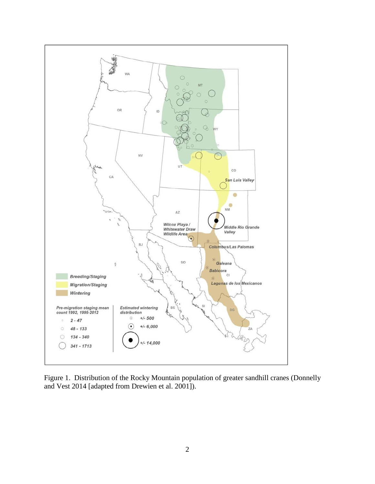

<span id="page-11-0"></span>Figure 1. Distribution of the Rocky Mountain population of greater sandhill cranes (Donnelly and Vest 2014 [adapted from Drewien et al. 2001]).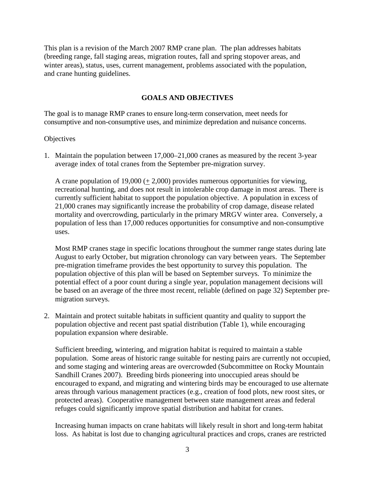<span id="page-12-0"></span>This plan is a revision of the March 2007 RMP crane plan. The plan addresses habitats (breeding range, fall staging areas, migration routes, fall and spring stopover areas, and winter areas), status, uses, current management, problems associated with the population, and crane hunting guidelines.

## **GOALS AND OBJECTIVES**

The goal is to manage RMP cranes to ensure long-term conservation, meet needs for consumptive and non-consumptive uses, and minimize depredation and nuisance concerns.

#### **Objectives**

1. Maintain the population between 17,000–21,000 cranes as measured by the recent 3-year average index of total cranes from the September pre-migration survey.

A crane population of 19,000  $(+ 2,000)$  provides numerous opportunities for viewing, recreational hunting, and does not result in intolerable crop damage in most areas. There is currently sufficient habitat to support the population objective. A population in excess of 21,000 cranes may significantly increase the probability of crop damage, disease related mortality and overcrowding, particularly in the primary MRGV winter area. Conversely, a population of less than 17,000 reduces opportunities for consumptive and non-consumptive uses.

Most RMP cranes stage in specific locations throughout the summer range states during late August to early October, but migration chronology can vary between years. The September pre-migration timeframe provides the best opportunity to survey this population. The population objective of this plan will be based on September surveys. To minimize the potential effect of a poor count during a single year, population management decisions will be based on an average of the three most recent, reliable (defined on page 32) September premigration surveys.

2. Maintain and protect suitable habitats in sufficient quantity and quality to support the population objective and recent past spatial distribution (Table 1), while encouraging population expansion where desirable.

Sufficient breeding, wintering, and migration habitat is required to maintain a stable population. Some areas of historic range suitable for nesting pairs are currently not occupied, and some staging and wintering areas are overcrowded (Subcommittee on Rocky Mountain Sandhill Cranes 2007). Breeding birds pioneering into unoccupied areas should be encouraged to expand, and migrating and wintering birds may be encouraged to use alternate areas through various management practices (e.g., creation of food plots, new roost sites, or protected areas). Cooperative management between state management areas and federal refuges could significantly improve spatial distribution and habitat for cranes.

Increasing human impacts on crane habitats will likely result in short and long-term habitat loss. As habitat is lost due to changing agricultural practices and crops, cranes are restricted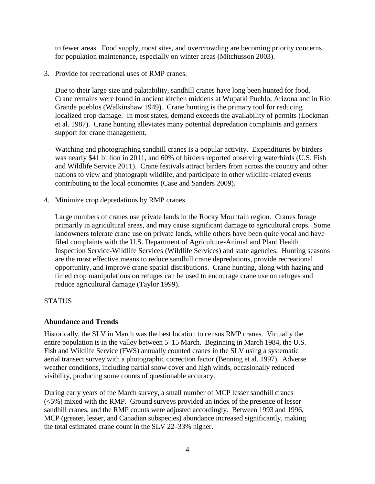to fewer areas. Food supply, roost sites, and overcrowding are becoming priority concerns for population maintenance, especially on winter areas (Mitchusson 2003).

3. Provide for recreational uses of RMP cranes.

Due to their large size and palatability, sandhill cranes have long been hunted for food. Crane remains were found in ancient kitchen middens at Wupatki Pueblo, Arizona and in Rio Grande pueblos (Walkinshaw 1949). Crane hunting is the primary tool for reducing localized crop damage. In most states, demand exceeds the availability of permits (Lockman et al. 1987). Crane hunting alleviates many potential depredation complaints and garners support for crane management.

Watching and photographing sandhill cranes is a popular activity. Expenditures by birders was nearly \$41 billion in 2011, and 60% of birders reported observing waterbirds (U.S. Fish and Wildlife Service 2011). Crane festivals attract birders from across the country and other nations to view and photograph wildlife, and participate in other wildlife-related events contributing to the local economies (Case and Sanders 2009).

4. Minimize crop depredations by RMP cranes.

Large numbers of cranes use private lands in the Rocky Mountain region. Cranes forage primarily in agricultural areas, and may cause significant damage to agricultural crops. Some landowners tolerate crane use on private lands, while others have been quite vocal and have filed complaints with the U.S. Department of Agriculture-Animal and Plant Health Inspection Service-Wildlife Services (Wildlife Services) and state agencies. Hunting seasons are the most effective means to reduce sandhill crane depredations, provide recreational opportunity, and improve crane spatial distributions. Crane hunting, along with hazing and timed crop manipulations on refuges can be used to encourage crane use on refuges and reduce agricultural damage (Taylor 1999).

# <span id="page-13-1"></span><span id="page-13-0"></span>**STATUS**

## **Abundance and Trends**

Historically, the SLV in March was the best location to census RMP cranes. Virtually the entire population is in the valley between 5–15 March. Beginning in March 1984, the U.S. Fish and Wildlife Service (FWS) annually counted cranes in the SLV using a systematic aerial transect survey with a photographic correction factor (Benning et al. 1997). Adverse weather conditions, including partial snow cover and high winds, occasionally reduced visibility, producing some counts of questionable accuracy.

During early years of the March survey, a small number of MCP lesser sandhill cranes (<5%) mixed with the RMP. Ground surveys provided an index of the presence of lesser sandhill cranes, and the RMP counts were adjusted accordingly. Between 1993 and 1996, MCP (greater, lesser, and Canadian subspecies) abundance increased significantly, making the total estimated crane count in the SLV 22–33% higher.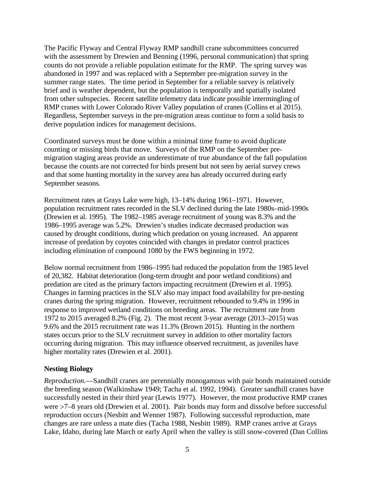The Pacific Flyway and Central Flyway RMP sandhill crane subcommittees concurred with the assessment by Drewien and Benning (1996, personal communication) that spring counts do not provide a reliable population estimate for the RMP. The spring survey was abandoned in 1997 and was replaced with a September pre-migration survey in the summer range states. The time period in September for a reliable survey is relatively brief and is weather dependent, but the population is temporally and spatially isolated from other subspecies. Recent satellite telemetry data indicate possible intermingling of RMP cranes with Lower Colorado River Valley population of cranes (Collins et al 2015). Regardless, September surveys in the pre-migration areas continue to form a solid basis to derive population indices for management decisions.

Coordinated surveys must be done within a minimal time frame to avoid duplicate counting or missing birds that move. Surveys of the RMP on the September premigration staging areas provide an underestimate of true abundance of the fall population because the counts are not corrected for birds present but not seen by aerial survey crews and that some hunting mortality in the survey area has already occurred during early September seasons.

Recruitment rates at Grays Lake were high, 13–14% during 1961–1971. However, population recruitment rates recorded in the SLV declined during the late 1980s–mid-1990s (Drewien et al. 1995). The 1982–1985 average recruitment of young was 8.3% and the 1986–1995 average was 5.2%. Drewien's studies indicate decreased production was caused by drought conditions, during which predation on young increased. An apparent increase of predation by coyotes coincided with changes in predator control practices including elimination of compound 1080 by the FWS beginning in 1972.

Below normal recruitment from 1986–1995 had reduced the population from the 1985 level of 20,382. Habitat deterioration (long-term drought and poor wetland conditions) and predation are cited as the primary factors impacting recruitment (Drewien et al. 1995). Changes in farming practices in the SLV also may impact food availability for pre-nesting cranes during the spring migration. However, recruitment rebounded to 9.4% in 1996 in response to improved wetland conditions on breeding areas. The recruitment rate from 1972 to 2015 averaged 8.2% (Fig. 2). The most recent 3-year average (2013–2015) was 9.6% and the 2015 recruitment rate was 11.3% (Brown 2015). Hunting in the northern states occurs prior to the SLV recruitment survey in addition to other mortality factors occurring during migration. This may influence observed recruitment, as juveniles have higher mortality rates (Drewien et al. 2001).

## <span id="page-14-0"></span>**Nesting Biology**

*Reproduction.*—Sandhill cranes are perennially monogamous with pair bonds maintained outside the breeding season (Walkinshaw 1949; Tacha et al. 1992, 1994). Greater sandhill cranes have successfully nested in their third year (Lewis 1977). However, the most productive RMP cranes were >7–8 years old (Drewien et al. 2001). Pair bonds may form and dissolve before successful reproduction occurs (Nesbitt and Wenner 1987). Following successful reproduction, mate changes are rare unless a mate dies (Tacha 1988, Nesbitt 1989). RMP cranes arrive at Grays Lake, Idaho, during late March or early April when the valley is still snow-covered (Dan Collins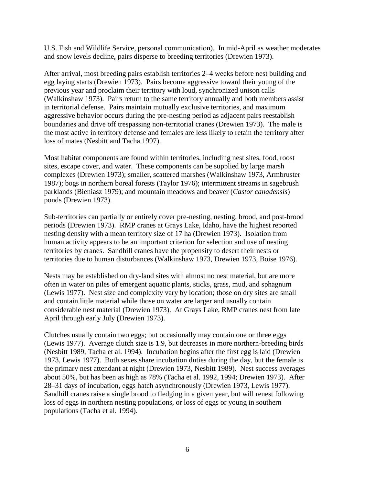U.S. Fish and Wildlife Service, personal communication). In mid-April as weather moderates and snow levels decline, pairs disperse to breeding territories (Drewien 1973).

After arrival, most breeding pairs establish territories 2–4 weeks before nest building and egg laying starts (Drewien 1973). Pairs become aggressive toward their young of the previous year and proclaim their territory with loud, synchronized unison calls (Walkinshaw 1973). Pairs return to the same territory annually and both members assist in territorial defense. Pairs maintain mutually exclusive territories, and maximum aggressive behavior occurs during the pre-nesting period as adjacent pairs reestablish boundaries and drive off trespassing non-territorial cranes (Drewien 1973). The male is the most active in territory defense and females are less likely to retain the territory after loss of mates (Nesbitt and Tacha 1997).

Most habitat components are found within territories, including nest sites, food, roost sites, escape cover, and water. These components can be supplied by large marsh complexes (Drewien 1973); smaller, scattered marshes (Walkinshaw 1973, Armbruster 1987); bogs in northern boreal forests (Taylor 1976); intermittent streams in sagebrush parklands (Bieniasz 1979); and mountain meadows and beaver (*Castor canadensis*) ponds (Drewien 1973).

Sub-territories can partially or entirely cover pre-nesting, nesting, brood, and post-brood periods (Drewien 1973). RMP cranes at Grays Lake, Idaho, have the highest reported nesting density with a mean territory size of 17 ha (Drewien 1973). Isolation from human activity appears to be an important criterion for selection and use of nesting territories by cranes. Sandhill cranes have the propensity to desert their nests or territories due to human disturbances (Walkinshaw 1973, Drewien 1973, Boise 1976).

Nests may be established on dry-land sites with almost no nest material, but are more often in water on piles of emergent aquatic plants, sticks, grass, mud, and sphagnum (Lewis 1977). Nest size and complexity vary by location; those on dry sites are small and contain little material while those on water are larger and usually contain considerable nest material (Drewien 1973). At Grays Lake, RMP cranes nest from late April through early July (Drewien 1973).

Clutches usually contain two eggs; but occasionally may contain one or three eggs (Lewis 1977). Average clutch size is 1.9, but decreases in more northern-breeding birds (Nesbitt 1989, Tacha et al. 1994). Incubation begins after the first egg is laid (Drewien 1973, Lewis 1977). Both sexes share incubation duties during the day, but the female is the primary nest attendant at night (Drewien 1973, Nesbitt 1989). Nest success averages about 50%, but has been as high as 78% (Tacha et al. 1992, 1994; Drewien 1973). After 28–31 days of incubation, eggs hatch asynchronously (Drewien 1973, Lewis 1977). Sandhill cranes raise a single brood to fledging in a given year, but will renest following loss of eggs in northern nesting populations, or loss of eggs or young in southern populations (Tacha et al. 1994).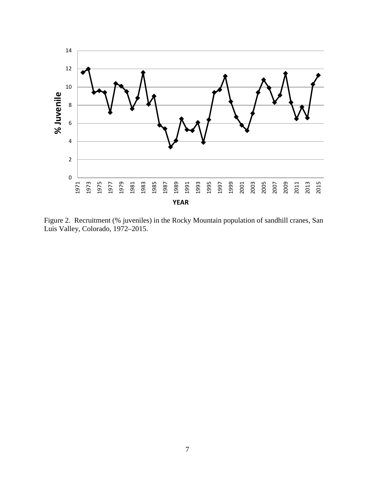

<span id="page-16-0"></span>Figure 2. Recruitment (% juveniles) in the Rocky Mountain population of sandhill cranes, San Luis Valley, Colorado, 1972–2015.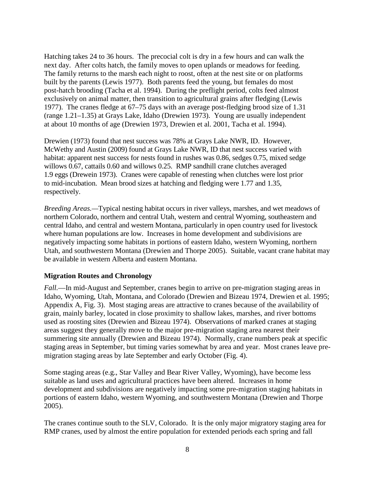Hatching takes 24 to 36 hours. The precocial colt is dry in a few hours and can walk the next day. After colts hatch, the family moves to open uplands or meadows for feeding. The family returns to the marsh each night to roost, often at the nest site or on platforms built by the parents (Lewis 1977). Both parents feed the young, but females do most post-hatch brooding (Tacha et al. 1994). During the preflight period, colts feed almost exclusively on animal matter, then transition to agricultural grains after fledging (Lewis 1977). The cranes fledge at 67–75 days with an average post-fledging brood size of 1.31 (range 1.21–1.35) at Grays Lake, Idaho (Drewien 1973). Young are usually independent at about 10 months of age (Drewien 1973, Drewien et al. 2001, Tacha et al. 1994).

Drewien (1973) found that nest success was 78% at Grays Lake NWR, ID. However, McWethy and Austin (2009) found at Grays Lake NWR, ID that nest success varied with habitat: apparent nest success for nests found in rushes was 0.86, sedges 0.75, mixed sedge willows 0.67, cattails 0.60 and willows 0.25. RMP sandhill crane clutches averaged 1.9 eggs (Drewein 1973). Cranes were capable of renesting when clutches were lost prior to mid-incubation. Mean brood sizes at hatching and fledging were 1.77 and 1.35, respectively.

*Breeding Areas.—*Typical nesting habitat occurs in river valleys, marshes, and wet meadows of northern Colorado, northern and central Utah, western and central Wyoming, southeastern and central Idaho, and central and western Montana, particularly in open country used for livestock where human populations are low. Increases in home development and subdivisions are negatively impacting some habitats in portions of eastern Idaho, western Wyoming, northern Utah, and southwestern Montana (Drewien and Thorpe 2005). Suitable, vacant crane habitat may be available in western Alberta and eastern Montana.

#### <span id="page-17-0"></span>**Migration Routes and Chronology**

*Fall.*—In mid-August and September, cranes begin to arrive on pre-migration staging areas in Idaho, Wyoming, Utah, Montana, and Colorado (Drewien and Bizeau 1974, Drewien et al. 1995; Appendix A, Fig. 3). Most staging areas are attractive to cranes because of the availability of grain, mainly barley, located in close proximity to shallow lakes, marshes, and river bottoms used as roosting sites (Drewien and Bizeau 1974). Observations of marked cranes at staging areas suggest they generally move to the major pre-migration staging area nearest their summering site annually (Drewien and Bizeau 1974). Normally, crane numbers peak at specific staging areas in September, but timing varies somewhat by area and year. Most cranes leave premigration staging areas by late September and early October (Fig. 4).

Some staging areas (e.g., Star Valley and Bear River Valley, Wyoming), have become less suitable as land uses and agricultural practices have been altered. Increases in home development and subdivisions are negatively impacting some pre-migration staging habitats in portions of eastern Idaho, western Wyoming, and southwestern Montana (Drewien and Thorpe 2005).

The cranes continue south to the SLV, Colorado. It is the only major migratory staging area for RMP cranes, used by almost the entire population for extended periods each spring and fall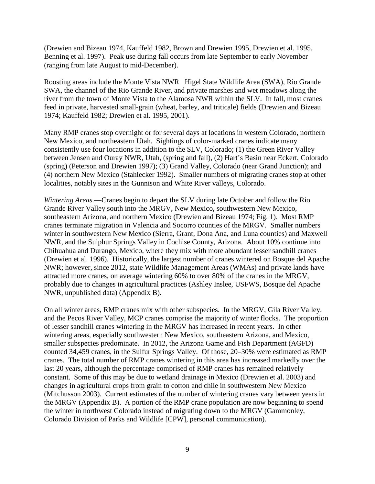(Drewien and Bizeau 1974, Kauffeld 1982, Brown and Drewien 1995, Drewien et al. 1995, Benning et al. 1997). Peak use during fall occurs from late September to early November (ranging from late August to mid-December).

Roosting areas include the Monte Vista NWR Higel State Wildlife Area (SWA), Rio Grande SWA, the channel of the Rio Grande River, and private marshes and wet meadows along the river from the town of Monte Vista to the Alamosa NWR within the SLV. In fall, most cranes feed in private, harvested small-grain (wheat, barley, and triticale) fields (Drewien and Bizeau 1974; Kauffeld 1982; Drewien et al. 1995, 2001).

Many RMP cranes stop overnight or for several days at locations in western Colorado, northern New Mexico, and northeastern Utah. Sightings of color-marked cranes indicate many consistently use four locations in addition to the SLV, Colorado; (1) the Green River Valley between Jensen and Ouray NWR, Utah, (spring and fall), (2) Hart's Basin near Eckert, Colorado (spring) (Peterson and Drewien 1997); (3) Grand Valley, Colorado (near Grand Junction); and (4) northern New Mexico (Stahlecker 1992). Smaller numbers of migrating cranes stop at other localities, notably sites in the Gunnison and White River valleys, Colorado.

*Wintering Areas.*—Cranes begin to depart the SLV during late October and follow the Rio Grande River Valley south into the MRGV, New Mexico, southwestern New Mexico, southeastern Arizona, and northern Mexico (Drewien and Bizeau 1974; Fig. 1). Most RMP cranes terminate migration in Valencia and Socorro counties of the MRGV. Smaller numbers winter in southwestern New Mexico (Sierra, Grant, Dona Ana, and Luna counties) and Maxwell NWR, and the Sulphur Springs Valley in Cochise County, Arizona. About 10% continue into Chihuahua and Durango, Mexico, where they mix with more abundant lesser sandhill cranes (Drewien et al. 1996). Historically, the largest number of cranes wintered on Bosque del Apache NWR; however, since 2012, state Wildlife Management Areas (WMAs) and private lands have attracted more cranes, on average wintering 60% to over 80% of the cranes in the MRGV, probably due to changes in agricultural practices (Ashley Inslee, USFWS, Bosque del Apache NWR, unpublished data) (Appendix B).

On all winter areas, RMP cranes mix with other subspecies. In the MRGV, Gila River Valley, and the Pecos River Valley, MCP cranes comprise the majority of winter flocks. The proportion of lesser sandhill cranes wintering in the MRGV has increased in recent years. In other wintering areas, especially southwestern New Mexico, southeastern Arizona, and Mexico, smaller subspecies predominate. In 2012, the Arizona Game and Fish Department (AGFD) counted 34,459 cranes, in the Sulfur Springs Valley. Of those, 20–30% were estimated as RMP cranes. The total number of RMP cranes wintering in this area has increased markedly over the last 20 years, although the percentage comprised of RMP cranes has remained relatively constant. Some of this may be due to wetland drainage in Mexico (Drewien et al. 2003) and changes in agricultural crops from grain to cotton and chile in southwestern New Mexico (Mitchusson 2003). Current estimates of the number of wintering cranes vary between years in the MRGV (Appendix B). A portion of the RMP crane population are now beginning to spend the winter in northwest Colorado instead of migrating down to the MRGV (Gammonley, Colorado Division of Parks and Wildlife [CPW], personal communication).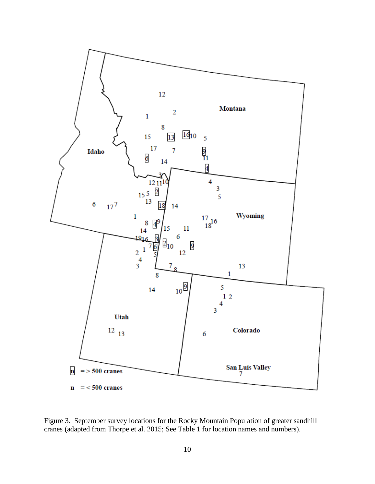

<span id="page-19-0"></span>Figure 3. September survey locations for the Rocky Mountain Population of greater sandhill cranes (adapted from Thorpe et al. 2015; See Table 1 for location names and numbers).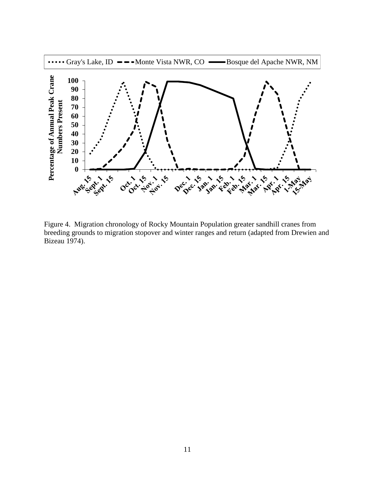

<span id="page-20-0"></span>Figure 4. Migration chronology of Rocky Mountain Population greater sandhill cranes from breeding grounds to migration stopover and winter ranges and return (adapted from Drewien and Bizeau 1974).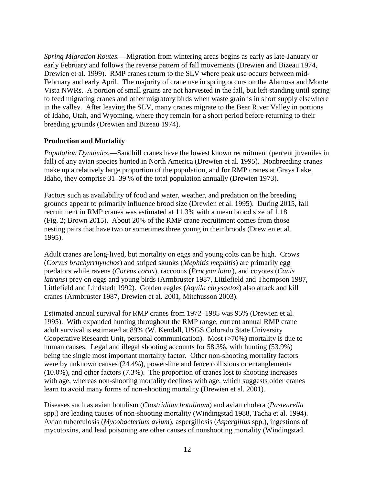*Spring Migration Routes.*—Migration from wintering areas begins as early as late-January or early February and follows the reverse pattern of fall movements (Drewien and Bizeau 1974, Drewien et al. 1999). RMP cranes return to the SLV where peak use occurs between mid-February and early April. The majority of crane use in spring occurs on the Alamosa and Monte Vista NWRs. A portion of small grains are not harvested in the fall, but left standing until spring to feed migrating cranes and other migratory birds when waste grain is in short supply elsewhere in the valley. After leaving the SLV, many cranes migrate to the Bear River Valley in portions of Idaho, Utah, and Wyoming, where they remain for a short period before returning to their breeding grounds (Drewien and Bizeau 1974).

# <span id="page-21-0"></span>**Production and Mortality**

*Population Dynamics.*—Sandhill cranes have the lowest known recruitment (percent juveniles in fall) of any avian species hunted in North America (Drewien et al. 1995). Nonbreeding cranes make up a relatively large proportion of the population, and for RMP cranes at Grays Lake, Idaho, they comprise 31–39 % of the total population annually (Drewien 1973).

Factors such as availability of food and water, weather, and predation on the breeding grounds appear to primarily influence brood size (Drewien et al. 1995). During 2015, fall recruitment in RMP cranes was estimated at 11.3% with a mean brood size of 1.18 (Fig. 2; Brown 2015). About 20% of the RMP crane recruitment comes from those nesting pairs that have two or sometimes three young in their broods (Drewien et al. 1995).

Adult cranes are long-lived, but mortality on eggs and young colts can be high. Crows (*Corvus brachyrrhynchos*) and striped skunks (*Mephitis mephitis*) are primarily egg predators while ravens (*Corvus corax*), raccoons (*Procyon lotor*), and coyotes (*Canis latrans*) prey on eggs and young birds (Armbruster 1987, Littlefield and Thompson 1987, Littlefield and Lindstedt 1992). Golden eagles (*Aquila chrysaetos*) also attack and kill cranes (Armbruster 1987, Drewien et al. 2001, Mitchusson 2003).

Estimated annual survival for RMP cranes from 1972–1985 was 95% (Drewien et al. 1995). With expanded hunting throughout the RMP range, current annual RMP crane adult survival is estimated at 89% (W. Kendall, USGS Colorado State University Cooperative Research Unit, personal communication). Most (>70%) mortality is due to human causes. Legal and illegal shooting accounts for 58.3%, with hunting (53.9%) being the single most important mortality factor. Other non-shooting mortality factors were by unknown causes (24.4%), power-line and fence collisions or entanglements (10.0%), and other factors (7.3%). The proportion of cranes lost to shooting increases with age, whereas non-shooting mortality declines with age, which suggests older cranes learn to avoid many forms of non-shooting mortality (Drewien et al. 2001).

Diseases such as avian botulism (*Clostridium botulinum*) and avian cholera (*Pasteurella*  spp.) are leading causes of non-shooting mortality (Windingstad 1988, Tacha et al. 1994). Avian tuberculosis (*Mycobacterium avium*), aspergillosis (*Aspergillus* spp.), ingestions of mycotoxins, and lead poisoning are other causes of nonshooting mortality (Windingstad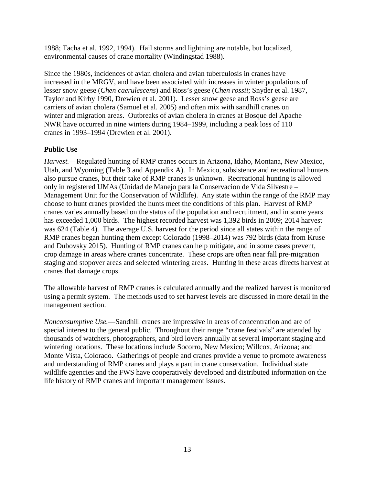1988; Tacha et al. 1992, 1994). Hail storms and lightning are notable, but localized, environmental causes of crane mortality (Windingstad 1988).

Since the 1980s, incidences of avian cholera and avian tuberculosis in cranes have increased in the MRGV, and have been associated with increases in winter populations of lesser snow geese (*Chen caerulescens*) and Ross's geese (*Chen rossii*; Snyder et al. 1987, Taylor and Kirby 1990, Drewien et al. 2001). Lesser snow geese and Ross's geese are carriers of avian cholera (Samuel et al. 2005) and often mix with sandhill cranes on winter and migration areas. Outbreaks of avian cholera in cranes at Bosque del Apache NWR have occurred in nine winters during 1984–1999, including a peak loss of 110 cranes in 1993–1994 (Drewien et al. 2001).

# <span id="page-22-0"></span>**Public Use**

*Harvest.*—Regulated hunting of RMP cranes occurs in Arizona, Idaho, Montana, New Mexico, Utah, and Wyoming (Table 3 and Appendix A). In Mexico, subsistence and recreational hunters also pursue cranes, but their take of RMP cranes is unknown. Recreational hunting is allowed only in registered UMAs (Unidad de Manejo para la Conservacion de Vida Silvestre – Management Unit for the Conservation of Wildlife). Any state within the range of the RMP may choose to hunt cranes provided the hunts meet the conditions of this plan. Harvest of RMP cranes varies annually based on the status of the population and recruitment, and in some years has exceeded 1,000 birds. The highest recorded harvest was 1,392 birds in 2009; 2014 harvest was 624 (Table 4). The average U.S. harvest for the period since all states within the range of RMP cranes began hunting them except Colorado (1998–2014) was 792 birds (data from Kruse and Dubovsky 2015). Hunting of RMP cranes can help mitigate, and in some cases prevent, crop damage in areas where cranes concentrate. These crops are often near fall pre-migration staging and stopover areas and selected wintering areas. Hunting in these areas directs harvest at cranes that damage crops.

The allowable harvest of RMP cranes is calculated annually and the realized harvest is monitored using a permit system. The methods used to set harvest levels are discussed in more detail in the management section.

<span id="page-22-1"></span>*Nonconsumptive Use.*—Sandhill cranes are impressive in areas of concentration and are of special interest to the general public. Throughout their range "crane festivals" are attended by thousands of watchers, photographers, and bird lovers annually at several important staging and wintering locations. These locations include Socorro, New Mexico; Willcox, Arizona; and Monte Vista, Colorado. Gatherings of people and cranes provide a venue to promote awareness and understanding of RMP cranes and plays a part in crane conservation. Individual state wildlife agencies and the FWS have cooperatively developed and distributed information on the life history of RMP cranes and important management issues.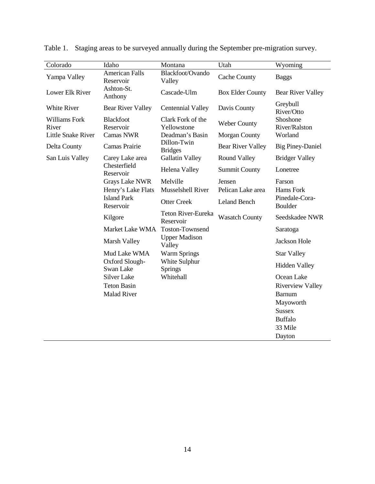| Colorado                  | Idaho                                                          | Montana                          | Utah                     | Wyoming                                                                                                                     |
|---------------------------|----------------------------------------------------------------|----------------------------------|--------------------------|-----------------------------------------------------------------------------------------------------------------------------|
| Yampa Valley              | <b>American Falls</b><br>Reservoir                             | Blackfoot/Ovando<br>Valley       | <b>Cache County</b>      | <b>Baggs</b>                                                                                                                |
| Lower Elk River           | Ashton-St.<br>Anthony                                          | Cascade-Ulm                      | <b>Box Elder County</b>  | <b>Bear River Valley</b>                                                                                                    |
| White River               | <b>Bear River Valley</b>                                       | <b>Centennial Valley</b>         | Davis County             | Greybull<br>River/Otto                                                                                                      |
| Williams Fork<br>River    | <b>Blackfoot</b><br>Reservoir                                  | Clark Fork of the<br>Yellowstone | <b>Weber County</b>      | Shoshone<br>River/Ralston                                                                                                   |
| <b>Little Snake River</b> | Camas NWR                                                      | Deadman's Basin                  | Morgan County            | Worland                                                                                                                     |
| Delta County              | Camas Prairie                                                  | Dillon-Twin<br><b>Bridges</b>    | <b>Bear River Valley</b> | <b>Big Piney-Daniel</b>                                                                                                     |
| San Luis Valley           | Carey Lake area                                                | <b>Gallatin Valley</b>           | <b>Round Valley</b>      | <b>Bridger Valley</b>                                                                                                       |
|                           | Chesterfield<br>Reservoir                                      | Helena Valley                    | <b>Summit County</b>     | Lonetree                                                                                                                    |
|                           | <b>Grays Lake NWR</b>                                          | Melville                         | Jensen                   | Farson                                                                                                                      |
|                           | Henry's Lake Flats                                             | Musselshell River                | Pelican Lake area        | Hams Fork                                                                                                                   |
|                           | <b>Island Park</b><br>Reservoir                                | <b>Otter Creek</b>               | <b>Leland Bench</b>      | Pinedale-Cora-<br>Boulder                                                                                                   |
|                           | Kilgore                                                        | Teton River-Eureka<br>Reservoir  | <b>Wasatch County</b>    | Seedskadee NWR                                                                                                              |
|                           | Market Lake WMA                                                | <b>Toston-Townsend</b>           |                          | Saratoga                                                                                                                    |
|                           | Marsh Valley                                                   | <b>Upper Madison</b><br>Valley   |                          | <b>Jackson Hole</b>                                                                                                         |
|                           | Mud Lake WMA                                                   | <b>Warm Springs</b>              |                          | <b>Star Valley</b>                                                                                                          |
|                           | Oxford Slough-<br>Swan Lake                                    | White Sulphur<br>Springs         |                          | <b>Hidden Valley</b>                                                                                                        |
|                           | <b>Silver Lake</b><br><b>Teton Basin</b><br><b>Malad River</b> | Whitehall                        |                          | Ocean Lake<br><b>Riverview Valley</b><br><b>Barnum</b><br>Mayoworth<br><b>Sussex</b><br><b>Buffalo</b><br>33 Mile<br>Dayton |

Table 1. Staging areas to be surveyed annually during the September pre-migration survey.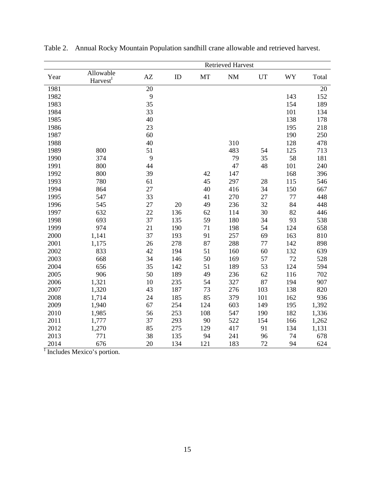|      |                                   |    |     |     | <b>Retrieved Harvest</b> |           |     |       |
|------|-----------------------------------|----|-----|-----|--------------------------|-----------|-----|-------|
| Year | Allowable<br>Harvest <sup>I</sup> | AZ | ID  | MT  | <b>NM</b>                | <b>UT</b> | WY  | Total |
| 1981 |                                   | 20 |     |     |                          |           |     | 20    |
| 1982 |                                   | 9  |     |     |                          |           | 143 | 152   |
| 1983 |                                   | 35 |     |     |                          |           | 154 | 189   |
| 1984 |                                   | 33 |     |     |                          |           | 101 | 134   |
| 1985 |                                   | 40 |     |     |                          |           | 138 | 178   |
| 1986 |                                   | 23 |     |     |                          |           | 195 | 218   |
| 1987 |                                   | 60 |     |     |                          |           | 190 | 250   |
| 1988 |                                   | 40 |     |     | 310                      |           | 128 | 478   |
| 1989 | 800                               | 51 |     |     | 483                      | 54        | 125 | 713   |
| 1990 | 374                               | 9  |     |     | 79                       | 35        | 58  | 181   |
| 1991 | 800                               | 44 |     |     | 47                       | 48        | 101 | 240   |
| 1992 | 800                               | 39 |     | 42  | 147                      |           | 168 | 396   |
| 1993 | 780                               | 61 |     | 45  | 297                      | 28        | 115 | 546   |
| 1994 | 864                               | 27 |     | 40  | 416                      | 34        | 150 | 667   |
| 1995 | 547                               | 33 |     | 41  | 270                      | 27        | 77  | 448   |
| 1996 | 545                               | 27 | 20  | 49  | 236                      | 32        | 84  | 448   |
| 1997 | 632                               | 22 | 136 | 62  | 114                      | 30        | 82  | 446   |
| 1998 | 693                               | 37 | 135 | 59  | 180                      | 34        | 93  | 538   |
| 1999 | 974                               | 21 | 190 | 71  | 198                      | 54        | 124 | 658   |
| 2000 | 1,141                             | 37 | 193 | 91  | 257                      | 69        | 163 | 810   |
| 2001 | 1,175                             | 26 | 278 | 87  | 288                      | 77        | 142 | 898   |
| 2002 | 833                               | 42 | 194 | 51  | 160                      | 60        | 132 | 639   |
| 2003 | 668                               | 34 | 146 | 50  | 169                      | 57        | 72  | 528   |
| 2004 | 656                               | 35 | 142 | 51  | 189                      | 53        | 124 | 594   |
| 2005 | 906                               | 50 | 189 | 49  | 236                      | 62        | 116 | 702   |
| 2006 | 1,321                             | 10 | 235 | 54  | 327                      | 87        | 194 | 907   |
| 2007 | 1,320                             | 43 | 187 | 73  | 276                      | 103       | 138 | 820   |
| 2008 | 1,714                             | 24 | 185 | 85  | 379                      | 101       | 162 | 936   |
| 2009 | 1,940                             | 67 | 254 | 124 | 603                      | 149       | 195 | 1,392 |
| 2010 | 1,985                             | 56 | 253 | 108 | 547                      | 190       | 182 | 1,336 |
| 2011 | 1,777                             | 37 | 293 | 90  | 522                      | 154       | 166 | 1,262 |
| 2012 | 1,270                             | 85 | 275 | 129 | 417                      | 91        | 134 | 1,131 |
| 2013 | 771                               | 38 | 135 | 94  | 241                      | 96        | 74  | 678   |
| 2014 | 676                               | 20 | 134 | 121 | 183                      | 72        | 94  | 624   |

<span id="page-24-0"></span>Table 2. Annual Rocky Mountain Population sandhill crane allowable and retrieved harvest.

<sup>I</sup> Includes Mexico's portion.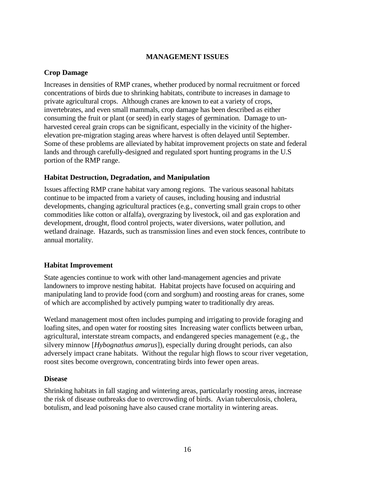# **MANAGEMENT ISSUES**

# <span id="page-25-1"></span><span id="page-25-0"></span>**Crop Damage**

Increases in densities of RMP cranes, whether produced by normal recruitment or forced concentrations of birds due to shrinking habitats, contribute to increases in damage to private agricultural crops. Although cranes are known to eat a variety of crops, invertebrates, and even small mammals, crop damage has been described as either consuming the fruit or plant (or seed) in early stages of germination. Damage to unharvested cereal grain crops can be significant, especially in the vicinity of the higherelevation pre-migration staging areas where harvest is often delayed until September. Some of these problems are alleviated by habitat improvement projects on state and federal lands and through carefully-designed and regulated sport hunting programs in the U.S portion of the RMP range.

## <span id="page-25-2"></span>**Habitat Destruction, Degradation, and Manipulation**

Issues affecting RMP crane habitat vary among regions. The various seasonal habitats continue to be impacted from a variety of causes, including housing and industrial developments, changing agricultural practices (e.g., converting small grain crops to other commodities like cotton or alfalfa), overgrazing by livestock, oil and gas exploration and development, drought, flood control projects, water diversions, water pollution, and wetland drainage. Hazards, such as transmission lines and even stock fences, contribute to annual mortality.

## <span id="page-25-3"></span>**Habitat Improvement**

State agencies continue to work with other land-management agencies and private landowners to improve nesting habitat. Habitat projects have focused on acquiring and manipulating land to provide food (corn and sorghum) and roosting areas for cranes, some of which are accomplished by actively pumping water to traditionally dry areas.

Wetland management most often includes pumping and irrigating to provide foraging and loafing sites, and open water for roosting sites Increasing water conflicts between urban, agricultural, interstate stream compacts, and endangered species management (e.g., the silvery minnow [*Hybognathus amarus*]), especially during drought periods, can also adversely impact crane habitats. Without the regular high flows to scour river vegetation, roost sites become overgrown, concentrating birds into fewer open areas.

#### <span id="page-25-4"></span>**Disease**

Shrinking habitats in fall staging and wintering areas, particularly roosting areas, increase the risk of disease outbreaks due to overcrowding of birds. Avian tuberculosis, cholera, botulism, and lead poisoning have also caused crane mortality in wintering areas.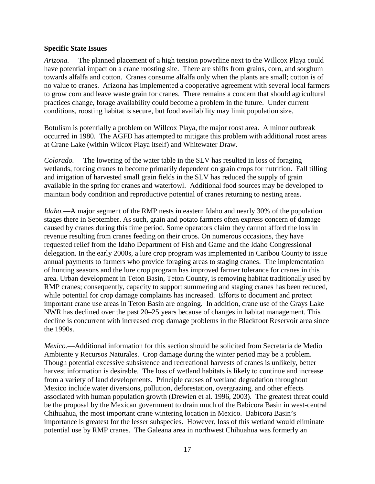## <span id="page-26-0"></span>**Specific State Issues**

*Arizona.*— The planned placement of a high tension powerline next to the Willcox Playa could have potential impact on a crane roosting site. There are shifts from grains, corn, and sorghum towards alfalfa and cotton. Cranes consume alfalfa only when the plants are small; cotton is of no value to cranes. Arizona has implemented a cooperative agreement with several local farmers to grow corn and leave waste grain for cranes. There remains a concern that should agricultural practices change, forage availability could become a problem in the future. Under current conditions, roosting habitat is secure, but food availability may limit population size.

Botulism is potentially a problem on Willcox Playa, the major roost area. A minor outbreak occurred in 1980. The AGFD has attempted to mitigate this problem with additional roost areas at Crane Lake (within Wilcox Playa itself) and Whitewater Draw.

*Colorado.*— The lowering of the water table in the SLV has resulted in loss of foraging wetlands, forcing cranes to become primarily dependent on grain crops for nutrition. Fall tilling and irrigation of harvested small grain fields in the SLV has reduced the supply of grain available in the spring for cranes and waterfowl. Additional food sources may be developed to maintain body condition and reproductive potential of cranes returning to nesting areas.

*Idaho.*—A major segment of the RMP nests in eastern Idaho and nearly 30% of the population stages there in September. As such, grain and potato farmers often express concern of damage caused by cranes during this time period. Some operators claim they cannot afford the loss in revenue resulting from cranes feeding on their crops. On numerous occasions, they have requested relief from the Idaho Department of Fish and Game and the Idaho Congressional delegation. In the early 2000s, a lure crop program was implemented in Caribou County to issue annual payments to farmers who provide foraging areas to staging cranes. The implementation of hunting seasons and the lure crop program has improved farmer tolerance for cranes in this area. Urban development in Teton Basin, Teton County, is removing habitat traditionally used by RMP cranes; consequently, capacity to support summering and staging cranes has been reduced, while potential for crop damage complaints has increased. Efforts to document and protect important crane use areas in Teton Basin are ongoing. In addition, crane use of the Grays Lake NWR has declined over the past 20–25 years because of changes in habitat management. This decline is concurrent with increased crop damage problems in the Blackfoot Reservoir area since the 1990s.

*Mexico.*—Additional information for this section should be solicited from Secretaria de Medio Ambiente y Recursos Naturales. Crop damage during the winter period may be a problem. Though potential excessive subsistence and recreational harvests of cranes is unlikely, better harvest information is desirable. The loss of wetland habitats is likely to continue and increase from a variety of land developments. Principle causes of wetland degradation throughout Mexico include water diversions, pollution, deforestation, overgrazing, and other effects associated with human population growth (Drewien et al. 1996, 2003). The greatest threat could be the proposal by the Mexican government to drain much of the Babicora Basin in west-central Chihuahua, the most important crane wintering location in Mexico. Babicora Basin's importance is greatest for the lesser subspecies. However, loss of this wetland would eliminate potential use by RMP cranes. The Galeana area in northwest Chihuahua was formerly an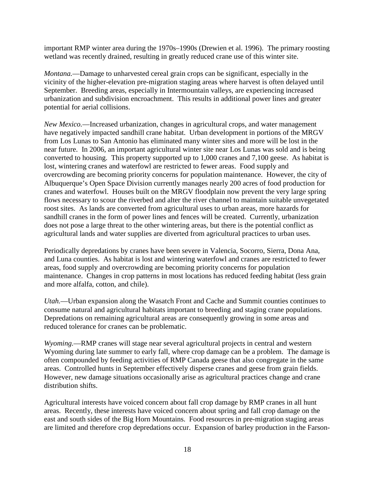important RMP winter area during the 1970s–1990s (Drewien et al. 1996). The primary roosting wetland was recently drained, resulting in greatly reduced crane use of this winter site.

*Montana.*—Damage to unharvested cereal grain crops can be significant, especially in the vicinity of the higher-elevation pre-migration staging areas where harvest is often delayed until September. Breeding areas, especially in Intermountain valleys, are experiencing increased urbanization and subdivision encroachment. This results in additional power lines and greater potential for aerial collisions.

*New Mexico.*—Increased urbanization, changes in agricultural crops, and water management have negatively impacted sandhill crane habitat. Urban development in portions of the MRGV from Los Lunas to San Antonio has eliminated many winter sites and more will be lost in the near future. In 2006, an important agricultural winter site near Los Lunas was sold and is being converted to housing. This property supported up to 1,000 cranes and 7,100 geese. As habitat is lost, wintering cranes and waterfowl are restricted to fewer areas. Food supply and overcrowding are becoming priority concerns for population maintenance. However, the city of Albuquerque's Open Space Division currently manages nearly 200 acres of food production for cranes and waterfowl. Houses built on the MRGV floodplain now prevent the very large spring flows necessary to scour the riverbed and alter the river channel to maintain suitable unvegetated roost sites. As lands are converted from agricultural uses to urban areas, more hazards for sandhill cranes in the form of power lines and fences will be created. Currently, urbanization does not pose a large threat to the other wintering areas, but there is the potential conflict as agricultural lands and water supplies are diverted from agricultural practices to urban uses.

Periodically depredations by cranes have been severe in Valencia, Socorro, Sierra, Dona Ana, and Luna counties. As habitat is lost and wintering waterfowl and cranes are restricted to fewer areas, food supply and overcrowding are becoming priority concerns for population maintenance. Changes in crop patterns in most locations has reduced feeding habitat (less grain and more alfalfa, cotton, and chile).

*Utah.*—Urban expansion along the Wasatch Front and Cache and Summit counties continues to consume natural and agricultural habitats important to breeding and staging crane populations. Depredations on remaining agricultural areas are consequently growing in some areas and reduced tolerance for cranes can be problematic.

*Wyoming.*—RMP cranes will stage near several agricultural projects in central and western Wyoming during late summer to early fall, where crop damage can be a problem. The damage is often compounded by feeding activities of RMP Canada geese that also congregate in the same areas. Controlled hunts in September effectively disperse cranes and geese from grain fields. However, new damage situations occasionally arise as agricultural practices change and crane distribution shifts.

Agricultural interests have voiced concern about fall crop damage by RMP cranes in all hunt areas. Recently, these interests have voiced concern about spring and fall crop damage on the east and south sides of the Big Horn Mountains. Food resources in pre-migration staging areas are limited and therefore crop depredations occur. Expansion of barley production in the Farson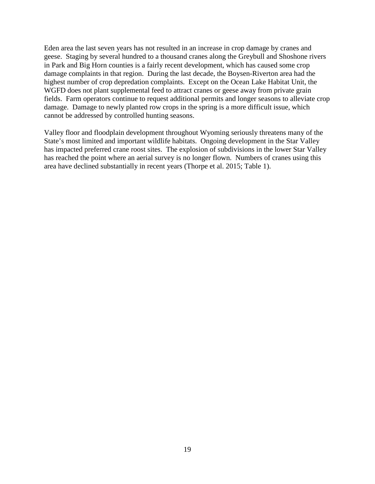Eden area the last seven years has not resulted in an increase in crop damage by cranes and geese. Staging by several hundred to a thousand cranes along the Greybull and Shoshone rivers in Park and Big Horn counties is a fairly recent development, which has caused some crop damage complaints in that region. During the last decade, the Boysen-Riverton area had the highest number of crop depredation complaints. Except on the Ocean Lake Habitat Unit, the WGFD does not plant supplemental feed to attract cranes or geese away from private grain fields. Farm operators continue to request additional permits and longer seasons to alleviate crop damage. Damage to newly planted row crops in the spring is a more difficult issue, which cannot be addressed by controlled hunting seasons.

Valley floor and floodplain development throughout Wyoming seriously threatens many of the State's most limited and important wildlife habitats. Ongoing development in the Star Valley has impacted preferred crane roost sites. The explosion of subdivisions in the lower Star Valley has reached the point where an aerial survey is no longer flown. Numbers of cranes using this area have declined substantially in recent years (Thorpe et al. 2015; Table 1).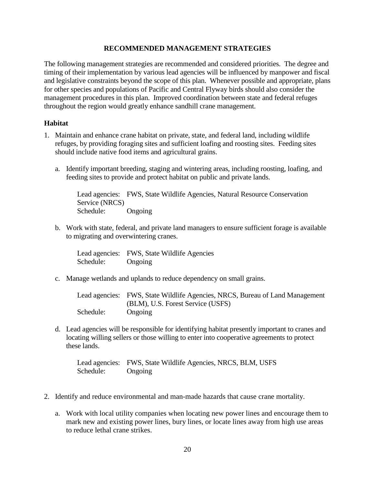# **RECOMMENDED MANAGEMENT STRATEGIES**

<span id="page-29-0"></span>The following management strategies are recommended and considered priorities. The degree and timing of their implementation by various lead agencies will be influenced by manpower and fiscal and legislative constraints beyond the scope of this plan. Whenever possible and appropriate, plans for other species and populations of Pacific and Central Flyway birds should also consider the management procedures in this plan. Improved coordination between state and federal refuges throughout the region would greatly enhance sandhill crane management.

# <span id="page-29-1"></span>**Habitat**

- 1. Maintain and enhance crane habitat on private, state, and federal land, including wildlife refuges, by providing foraging sites and sufficient loafing and roosting sites. Feeding sites should include native food items and agricultural grains.
	- a. Identify important breeding, staging and wintering areas, including roosting, loafing, and feeding sites to provide and protect habitat on public and private lands.

Lead agencies: FWS, State Wildlife Agencies, Natural Resource Conservation Service (NRCS) Schedule: Ongoing

b. Work with state, federal, and private land managers to ensure sufficient forage is available to migrating and overwintering cranes.

Lead agencies: FWS, State Wildlife Agencies Schedule: Ongoing

c. Manage wetlands and uplands to reduce dependency on small grains.

Lead agencies: FWS, State Wildlife Agencies, NRCS, Bureau of Land Management (BLM), U.S. Forest Service (USFS) Schedule: Ongoing

d. Lead agencies will be responsible for identifying habitat presently important to cranes and locating willing sellers or those willing to enter into cooperative agreements to protect these lands.

Lead agencies: FWS, State Wildlife Agencies, NRCS, BLM, USFS Schedule: Ongoing

- 2. Identify and reduce environmental and man-made hazards that cause crane mortality.
	- a. Work with local utility companies when locating new power lines and encourage them to mark new and existing power lines, bury lines, or locate lines away from high use areas to reduce lethal crane strikes.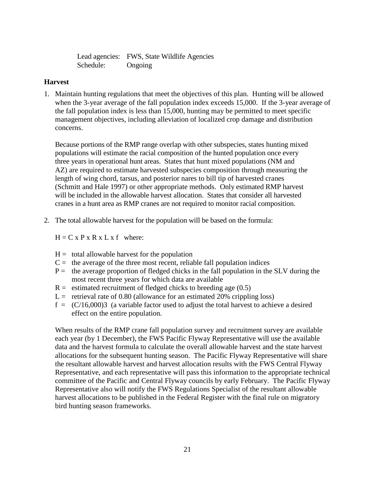Lead agencies: FWS, State Wildlife Agencies Schedule: Ongoing

# <span id="page-30-0"></span>**Harvest**

1. Maintain hunting regulations that meet the objectives of this plan. Hunting will be allowed when the 3-year average of the fall population index exceeds 15,000. If the 3-year average of the fall population index is less than 15,000, hunting may be permitted to meet specific management objectives, including alleviation of localized crop damage and distribution concerns.

Because portions of the RMP range overlap with other subspecies, states hunting mixed populations will estimate the racial composition of the hunted population once every three years in operational hunt areas. States that hunt mixed populations (NM and AZ) are required to estimate harvested subspecies composition through measuring the length of wing chord, tarsus, and posterior nares to bill tip of harvested cranes (Schmitt and Hale 1997) or other appropriate methods. Only estimated RMP harvest will be included in the allowable harvest allocation. States that consider all harvested cranes in a hunt area as RMP cranes are not required to monitor racial composition.

2. The total allowable harvest for the population will be based on the formula:

 $H = C x P x R x L x f where:$ 

- $H =$  total allowable harvest for the population
- $C =$  the average of the three most recent, reliable fall population indices
- $P =$  the average proportion of fledged chicks in the fall population in the SLV during the most recent three years for which data are available
- $R =$  estimated recruitment of fledged chicks to breeding age  $(0.5)$
- $L =$  retrieval rate of 0.80 (allowance for an estimated 20% crippling loss)
- $f = (C/16,000)3$  (a variable factor used to adjust the total harvest to achieve a desired effect on the entire population.

When results of the RMP crane fall population survey and recruitment survey are available each year (by 1 December), the FWS Pacific Flyway Representative will use the available data and the harvest formula to calculate the overall allowable harvest and the state harvest allocations for the subsequent hunting season. The Pacific Flyway Representative will share the resultant allowable harvest and harvest allocation results with the FWS Central Flyway Representative, and each representative will pass this information to the appropriate technical committee of the Pacific and Central Flyway councils by early February. The Pacific Flyway Representative also will notify the FWS Regulations Specialist of the resultant allowable harvest allocations to be published in the Federal Register with the final rule on migratory bird hunting season frameworks.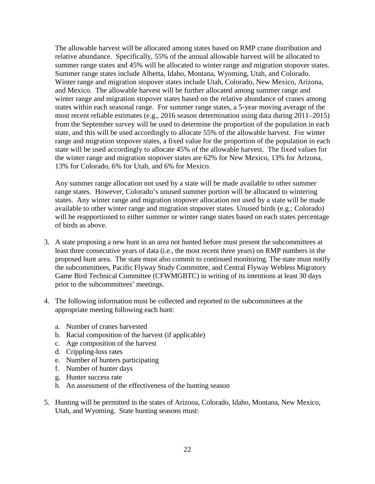The allowable harvest will be allocated among states based on RMP crane distribution and relative abundance. Specifically, 55% of the annual allowable harvest will be allocated to summer range states and 45% will be allocated to winter range and migration stopover states. Summer range states include Alberta, Idaho, Montana, Wyoming, Utah, and Colorado. Winter range and migration stopover states include Utah, Colorado, New Mexico, Arizona, and Mexico. The allowable harvest will be further allocated among summer range and winter range and migration stopover states based on the relative abundance of cranes among states within each seasonal range. For summer range states, a 5-year moving average of the most recent reliable estimates (e.g., 2016 season determination using data during 2011–2015) from the September survey will be used to determine the proportion of the population in each state, and this will be used accordingly to allocate 55% of the allowable harvest. For winter range and migration stopover states, a fixed value for the proportion of the population in each state will be used accordingly to allocate 45% of the allowable harvest. The fixed values for the winter range and migration stopover states are 62% for New Mexico, 13% for Arizona, 13% for Colorado, 6% for Utah, and 6% for Mexico.

Any summer range allocation not used by a state will be made available to other summer range states. However, Colorado's unused summer portion will be allocated to wintering states. Any winter range and migration stopover allocation not used by a state will be made available to other winter range and migration stopover states. Unused birds (e.g.; Colorado) will be reapportioned to either summer or winter range states based on each states percentage of birds as above.

- 3. A state proposing a new hunt in an area not hunted before must present the subcommittees at least three consecutive years of data (i.e., the most recent three years) on RMP numbers in the proposed hunt area. The state must also commit to continued monitoring. The state must notify the subcommittees, Pacific Flyway Study Committee, and Central Flyway Webless Migratory Game Bird Technical Committee (CFWMGBTC) in writing of its intentions at least 30 days prior to the subcommittees' meetings.
- 4. The following information must be collected and reported to the subcommittees at the appropriate meeting following each hunt:
	- a. Number of cranes harvested
	- b. Racial composition of the harvest (if applicable)
	- c. Age composition of the harvest
	- d. Crippling-loss rates
	- e. Number of hunters participating
	- f. Number of hunter days
	- g. Hunter success rate
	- h. An assessment of the effectiveness of the hunting season
- 5. Hunting will be permitted in the states of Arizona, Colorado, Idaho, Montana, New Mexico, Utah, and Wyoming. State hunting seasons must: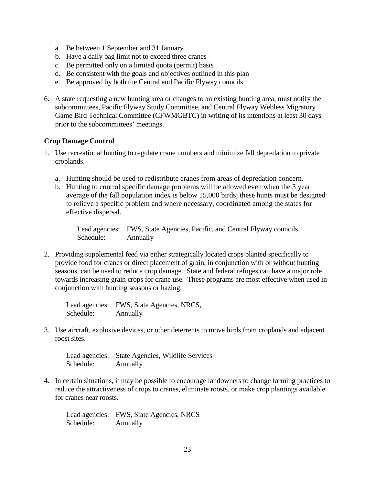- a. Be between 1 September and 31 January
- b. Have a daily bag limit not to exceed three cranes
- c. Be permitted only on a limited quota (permit) basis
- d. Be consistent with the goals and objectives outlined in this plan
- e. Be approved by both the Central and Pacific Flyway councils
- 6. A state requesting a new hunting area or changes to an existing hunting area, must notify the subcommittees, Pacific Flyway Study Committee, and Central Flyway Webless Migratory Game Bird Technical Committee (CFWMGBTC) in writing of its intentions at least 30 days prior to the subcommittees' meetings.

#### <span id="page-32-0"></span>**Crop Damage Control**

- 1. Use recreational hunting to regulate crane numbers and minimize fall depredation to private croplands.
	- a. Hunting should be used to redistribute cranes from areas of depredation concern.
	- b. Hunting to control specific damage problems will be allowed even when the 3 year average of the fall population index is below 15,000 birds; these hunts must be designed to relieve a specific problem and where necessary, coordinated among the states for effective dispersal.

Lead agencies: FWS, State Agencies, Pacific, and Central Flyway councils Schedule: Annually

2. Providing supplemental feed via either strategically located crops planted specifically to provide food for cranes or direct placement of grain, in conjunction with or without hunting seasons, can be used to reduce crop damage. State and federal refuges can have a major role towards increasing grain crops for crane use. These programs are most effective when used in conjunction with hunting seasons or hazing.

Lead agencies: FWS, State Agencies, NRCS, Schedule: Annually

3. Use aircraft, explosive devices, or other deterrents to move birds from croplands and adjacent roost sites.

Lead agencies: State Agencies, Wildlife Services Schedule: Annually

4. In certain situations, it may be possible to encourage landowners to change farming practices to reduce the attractiveness of crops to cranes, eliminate roosts, or make crop plantings available for cranes near roosts.

Lead agencies: FWS, State Agencies, NRCS Schedule: Annually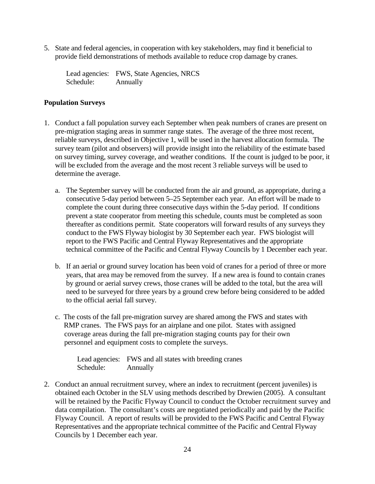5. State and federal agencies, in cooperation with key stakeholders, may find it beneficial to provide field demonstrations of methods available to reduce crop damage by cranes.

Lead agencies: FWS, State Agencies, NRCS Schedule: Annually

# <span id="page-33-0"></span>**Population Surveys**

- 1. Conduct a fall population survey each September when peak numbers of cranes are present on pre-migration staging areas in summer range states. The average of the three most recent, reliable surveys, described in Objective 1, will be used in the harvest allocation formula. The survey team (pilot and observers) will provide insight into the reliability of the estimate based on survey timing, survey coverage, and weather conditions. If the count is judged to be poor, it will be excluded from the average and the most recent 3 reliable surveys will be used to determine the average.
	- a. The September survey will be conducted from the air and ground, as appropriate, during a consecutive 5-day period between 5–25 September each year. An effort will be made to complete the count during three consecutive days within the 5-day period. If conditions prevent a state cooperator from meeting this schedule, counts must be completed as soon thereafter as conditions permit. State cooperators will forward results of any surveys they conduct to the FWS Flyway biologist by 30 September each year. FWS biologist will report to the FWS Pacific and Central Flyway Representatives and the appropriate technical committee of the Pacific and Central Flyway Councils by 1 December each year.
	- b. If an aerial or ground survey location has been void of cranes for a period of three or more years, that area may be removed from the survey. If a new area is found to contain cranes by ground or aerial survey crews, those cranes will be added to the total, but the area will need to be surveyed for three years by a ground crew before being considered to be added to the official aerial fall survey.
	- c. The costs of the fall pre-migration survey are shared among the FWS and states with RMP cranes. The FWS pays for an airplane and one pilot. States with assigned coverage areas during the fall pre-migration staging counts pay for their own personnel and equipment costs to complete the surveys.

Lead agencies: FWS and all states with breeding cranes Schedule: Annually

2. Conduct an annual recruitment survey, where an index to recruitment (percent juveniles) is obtained each October in the SLV using methods described by Drewien (2005). A consultant will be retained by the Pacific Flyway Council to conduct the October recruitment survey and data compilation. The consultant's costs are negotiated periodically and paid by the Pacific Flyway Council. A report of results will be provided to the FWS Pacific and Central Flyway Representatives and the appropriate technical committee of the Pacific and Central Flyway Councils by 1 December each year.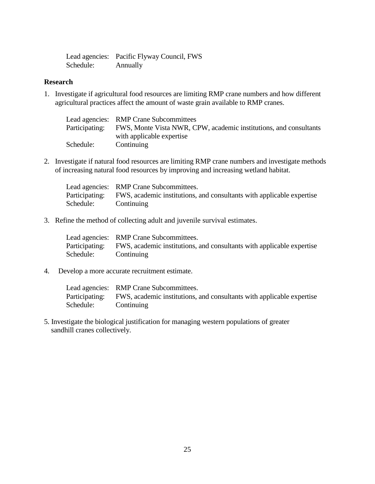|           | Lead agencies: Pacific Flyway Council, FWS |
|-----------|--------------------------------------------|
| Schedule: | Annually                                   |

## <span id="page-34-0"></span>**Research**

1. Investigate if agricultural food resources are limiting RMP crane numbers and how different agricultural practices affect the amount of waste grain available to RMP cranes.

|                | Lead agencies: RMP Crane Subcommittees                            |
|----------------|-------------------------------------------------------------------|
| Participating: | FWS, Monte Vista NWR, CPW, academic institutions, and consultants |
|                | with applicable expertise                                         |
| Schedule:      | Continuing                                                        |

2. Investigate if natural food resources are limiting RMP crane numbers and investigate methods of increasing natural food resources by improving and increasing wetland habitat.

|           | Lead agencies: RMP Crane Subcommittees.                                              |
|-----------|--------------------------------------------------------------------------------------|
|           | Participating: FWS, academic institutions, and consultants with applicable expertise |
| Schedule: | Continuing                                                                           |

3. Refine the method of collecting adult and juvenile survival estimates.

|           | Lead agencies: RMP Crane Subcommittees.                                              |
|-----------|--------------------------------------------------------------------------------------|
|           | Participating: FWS, academic institutions, and consultants with applicable expertise |
| Schedule: | Continuing                                                                           |

4. Develop a more accurate recruitment estimate.

Lead agencies: RMP Crane Subcommittees. Participating: FWS, academic institutions, and consultants with applicable expertise<br>Schedule: Continuing **Continuing** 

5. Investigate the biological justification for managing western populations of greater sandhill cranes collectively.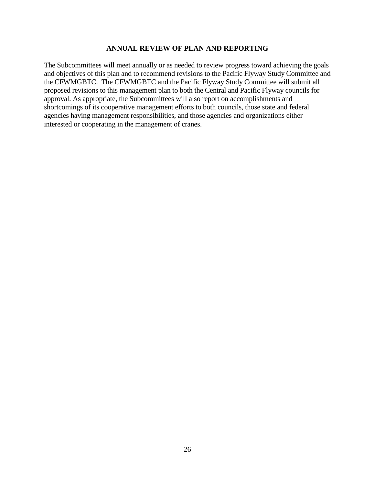#### **ANNUAL REVIEW OF PLAN AND REPORTING**

<span id="page-35-0"></span>The Subcommittees will meet annually or as needed to review progress toward achieving the goals and objectives of this plan and to recommend revisions to the Pacific Flyway Study Committee and the CFWMGBTC. The CFWMGBTC and the Pacific Flyway Study Committee will submit all proposed revisions to this management plan to both the Central and Pacific Flyway councils for approval. As appropriate, the Subcommittees will also report on accomplishments and shortcomings of its cooperative management efforts to both councils, those state and federal agencies having management responsibilities, and those agencies and organizations either interested or cooperating in the management of cranes.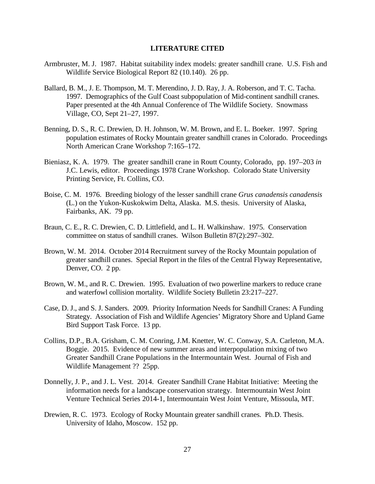#### **LITERATURE CITED**

- <span id="page-36-0"></span>Armbruster, M. J. 1987. Habitat suitability index models: greater sandhill crane. U.S. Fish and Wildlife Service Biological Report 82 (10.140). 26 pp.
- Ballard, B. M., J. E. Thompson, M. T. Merendino, J. D. Ray, J. A. Roberson, and T. C. Tacha. 1997. Demographics of the Gulf Coast subpopulation of Mid-continent sandhill cranes. Paper presented at the 4th Annual Conference of The Wildlife Society. Snowmass Village, CO, Sept 21–27, 1997.
- Benning, D. S., R. C. Drewien, D. H. Johnson, W. M. Brown, and E. L. Boeker. 1997. Spring population estimates of Rocky Mountain greater sandhill cranes in Colorado. Proceedings North American Crane Workshop 7:165–172.
- Bieniasz, K. A. 1979. The greater sandhill crane in Routt County, Colorado, pp. 197–203 *in* J.C. Lewis, editor. Proceedings 1978 Crane Workshop. Colorado State University Printing Service, Ft. Collins, CO.
- Boise, C. M. 1976. Breeding biology of the lesser sandhill crane *Grus canadensis canadensis*  (L.) on the Yukon-Kuskokwim Delta, Alaska. M.S. thesis. University of Alaska, Fairbanks, AK. 79 pp.
- Braun, C. E., R. C. Drewien, C. D. Littlefield, and L. H. Walkinshaw. 1975. Conservation committee on status of sandhill cranes. Wilson Bulletin 87(2):297–302.
- Brown, W. M. 2014. October 2014 Recruitment survey of the Rocky Mountain population of greater sandhill cranes. Special Report in the files of the Central Flyway Representative, Denver, CO. 2 pp.
- Brown, W. M., and R. C. Drewien. 1995. Evaluation of two powerline markers to reduce crane and waterfowl collision mortality. Wildlife Society Bulletin 23:217–227.
- Case, D. J., and S. J. Sanders. 2009. Priority Information Needs for Sandhill Cranes: A Funding Strategy. Association of Fish and Wildlife Agencies' Migratory Shore and Upland Game Bird Support Task Force. 13 pp.
- Collins, D.P., B.A. Grisham, C. M. Conring, J.M. Knetter, W. C. Conway, S.A. Carleton, M.A. Boggie. 2015. Evidence of new summer areas and interpopulation mixing of two Greater Sandhill Crane Populations in the Intermountain West. Journal of Fish and Wildlife Management ?? 25pp.
- Donnelly, J. P., and J. L. Vest. 2014. Greater Sandhill Crane Habitat Initiative: Meeting the information needs for a landscape conservation strategy. Intermountain West Joint Venture Technical Series 2014-1, Intermountain West Joint Venture, Missoula, MT.
- Drewien, R. C. 1973. Ecology of Rocky Mountain greater sandhill cranes. Ph.D. Thesis. University of Idaho, Moscow. 152 pp.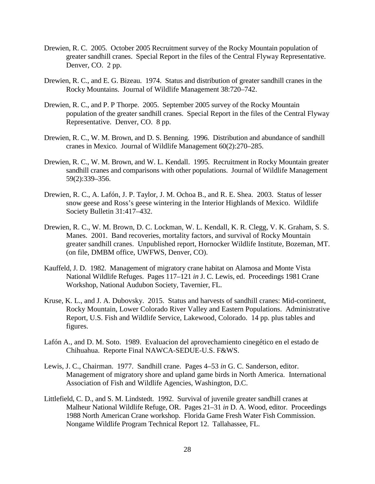- Drewien, R. C. 2005. October 2005 Recruitment survey of the Rocky Mountain population of greater sandhill cranes. Special Report in the files of the Central Flyway Representative. Denver, CO. 2 pp.
- Drewien, R. C., and E. G. Bizeau. 1974. Status and distribution of greater sandhill cranes in the Rocky Mountains. Journal of Wildlife Management 38:720–742.
- Drewien, R. C., and P. P Thorpe. 2005. September 2005 survey of the Rocky Mountain population of the greater sandhill cranes. Special Report in the files of the Central Flyway Representative. Denver, CO. 8 pp.
- Drewien, R. C., W. M. Brown, and D. S. Benning. 1996. Distribution and abundance of sandhill cranes in Mexico. Journal of Wildlife Management 60(2):270–285.
- Drewien, R. C., W. M. Brown, and W. L. Kendall. 1995. Recruitment in Rocky Mountain greater sandhill cranes and comparisons with other populations. Journal of Wildlife Management 59(2):339–356.
- Drewien, R. C., A. Lafón, J. P. Taylor, J. M. Ochoa B., and R. E. Shea. 2003. Status of lesser snow geese and Ross's geese wintering in the Interior Highlands of Mexico. Wildlife Society Bulletin 31:417–432.
- Drewien, R. C., W. M. Brown, D. C. Lockman, W. L. Kendall, K. R. Clegg, V. K. Graham, S. S. Manes. 2001. Band recoveries, mortality factors, and survival of Rocky Mountain greater sandhill cranes. Unpublished report, Hornocker Wildlife Institute, Bozeman, MT. (on file, DMBM office, UWFWS, Denver, CO).
- Kauffeld, J. D. 1982. Management of migratory crane habitat on Alamosa and Monte Vista National Wildlife Refuges. Pages 117–121 *in* J. C. Lewis, ed. Proceedings 1981 Crane Workshop, National Audubon Society, Tavernier, FL.
- Kruse, K. L., and J. A. Dubovsky. 2015. Status and harvests of sandhill cranes: Mid-continent, Rocky Mountain, Lower Colorado River Valley and Eastern Populations. Administrative Report, U.S. Fish and Wildlife Service, Lakewood, Colorado. 14 pp. plus tables and figures.
- Lafón A., and D. M. Soto. 1989. Evaluacion del aprovechamiento cinegético en el estado de Chihuahua. Reporte Final NAWCA-SEDUE-U.S. F&WS.
- Lewis, J. C., Chairman. 1977. Sandhill crane. Pages 4–53 *in* G. C. Sanderson, editor. Management of migratory shore and upland game birds in North America. International Association of Fish and Wildlife Agencies, Washington, D.C.
- Littlefield, C. D., and S. M. Lindstedt. 1992. Survival of juvenile greater sandhill cranes at Malheur National Wildlife Refuge, OR. Pages 21–31 *in* D. A. Wood, editor. Proceedings 1988 North American Crane workshop. Florida Game Fresh Water Fish Commission. Nongame Wildlife Program Technical Report 12. Tallahassee, FL.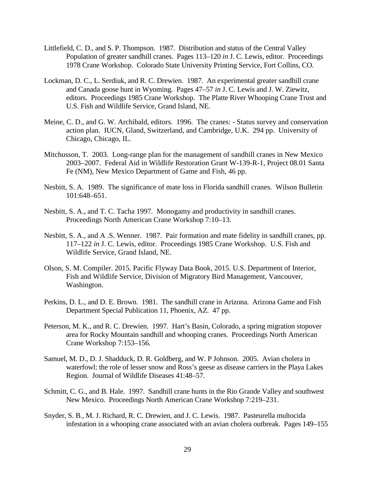- Littlefield, C. D., and S. P. Thompson. 1987. Distribution and status of the Central Valley Population of greater sandhill cranes. Pages 113–120 *in* J. C. Lewis, editor. Proceedings 1978 Crane Workshop. Colorado State University Printing Service, Fort Collins, CO.
- Lockman, D. C., L. Serdiuk, and R. C. Drewien. 1987. An experimental greater sandhill crane and Canada goose hunt in Wyoming. Pages 47–57 *in* J. C. Lewis and J. W. Ziewitz, editors. Proceedings 1985 Crane Workshop. The Platte River Whooping Crane Trust and U.S. Fish and Wildlife Service, Grand Island, NE.
- Meine, C. D., and G. W. Archibald, editors. 1996. The cranes: Status survey and conservation action plan. IUCN, Gland, Switzerland, and Cambridge, U.K. 294 pp. University of Chicago, Chicago, IL.
- Mitchusson, T. 2003. Long-range plan for the management of sandhill cranes in New Mexico 2003–2007. Federal Aid in Wildlife Restoration Grant W-139-R-1, Project 08.01 Santa Fe (NM), New Mexico Department of Game and Fish, 46 pp.
- Nesbitt, S. A. 1989. The significance of mate loss in Florida sandhill cranes. Wilson Bulletin 101:648–651.
- Nesbitt, S. A., and T. C. Tacha 1997. Monogamy and productivity in sandhill cranes. Proceedings North American Crane Workshop 7:10–13.
- Nesbitt, S. A., and A .S. Wenner. 1987. Pair formation and mate fidelity in sandhill cranes, pp. 117–122 *in* J. C. Lewis, editor. Proceedings 1985 Crane Workshop. U.S. Fish and Wildlife Service, Grand Island, NE.
- Olson, S. M. Compiler. 2015. Pacific Flyway Data Book, 2015. U.S. Department of Interior, Fish and Wildlife Service, Division of Migratory Bird Management, Vancouver, Washington.
- Perkins, D. L., and D. E. Brown. 1981. The sandhill crane in Arizona. Arizona Game and Fish Department Special Publication 11, Phoenix, AZ. 47 pp.
- Peterson, M. K., and R. C. Drewien. 1997. Hart's Basin, Colorado, a spring migration stopover area for Rocky Mountain sandhill and whooping cranes. Proceedings North American Crane Workshop 7:153–156.
- Samuel, M. D., D. J. Shadduck, D. R. Goldberg, and W. P Johnson. 2005. Avian cholera in waterfowl: the role of lesser snow and Ross's geese as disease carriers in the Playa Lakes Region. Journal of Wildlife Diseases 41:48–57.
- Schmitt, C. G., and B. Hale. 1997. Sandhill crane hunts in the Rio Grande Valley and southwest New Mexico. Proceedings North American Crane Workshop 7:219–231.
- Snyder, S. B., M. J. Richard, R. C. Drewien, and J. C. Lewis. 1987. Pasteurella multocida infestation in a whooping crane associated with an avian cholera outbreak. Pages 149–155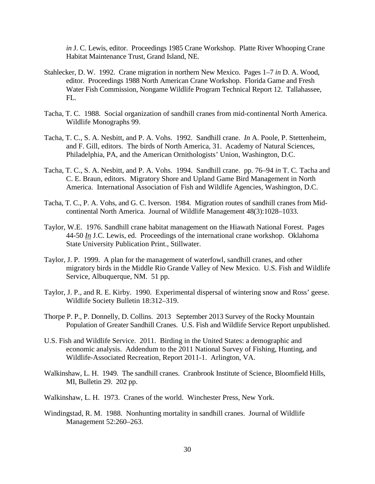*in* J. C. Lewis, editor. Proceedings 1985 Crane Workshop. Platte River Whooping Crane Habitat Maintenance Trust, Grand Island, NE.

- Stahlecker, D. W. 1992. Crane migration in northern New Mexico. Pages 1–7 *in* D. A. Wood, editor. Proceedings 1988 North American Crane Workshop. Florida Game and Fresh Water Fish Commission, Nongame Wildlife Program Technical Report 12. Tallahassee, FL.
- Tacha, T. C. 1988. Social organization of sandhill cranes from mid-continental North America. Wildlife Monographs 99.
- Tacha, T. C., S. A. Nesbitt, and P. A. Vohs. 1992. Sandhill crane. *In* A. Poole, P. Stettenheim, and F. Gill, editors. The birds of North America, 31. Academy of Natural Sciences, Philadelphia, PA, and the American Ornithologists' Union, Washington, D.C.
- Tacha, T. C., S. A. Nesbitt, and P. A. Vohs. 1994. Sandhill crane. pp. 76–94 *in* T. C. Tacha and C. E. Braun, editors. Migratory Shore and Upland Game Bird Management in North America. International Association of Fish and Wildlife Agencies, Washington, D.C.
- Tacha, T. C., P. A. Vohs, and G. C. Iverson. 1984. Migration routes of sandhill cranes from Midcontinental North America. Journal of Wildlife Management 48(3):1028–1033.
- Taylor, W.E. 1976. Sandhill crane habitat management on the Hiawath National Forest. Pages 44-50 *In* J.C. Lewis, ed. Proceedings of the international crane workshop. Oklahoma State University Publication Print., Stillwater.
- Taylor, J. P. 1999. A plan for the management of waterfowl, sandhill cranes, and other migratory birds in the Middle Rio Grande Valley of New Mexico. U.S. Fish and Wildlife Service, Albuquerque, NM. 51 pp.
- Taylor, J. P., and R. E. Kirby. 1990. Experimental dispersal of wintering snow and Ross' geese. Wildlife Society Bulletin 18:312–319.
- Thorpe P. P., P. Donnelly, D. Collins. 2013 September 2013 Survey of the Rocky Mountain Population of Greater Sandhill Cranes. U.S. Fish and Wildlife Service Report unpublished.
- U.S. Fish and Wildlife Service. 2011. Birding in the United States: a demographic and economic analysis. Addendum to the 2011 National Survey of Fishing, Hunting, and Wildlife-Associated Recreation, Report 2011-1. Arlington, VA.
- Walkinshaw, L. H. 1949. The sandhill cranes. Cranbrook Institute of Science, Bloomfield Hills, MI, Bulletin 29. 202 pp.
- Walkinshaw, L. H. 1973. Cranes of the world. Winchester Press, New York.
- Windingstad, R. M. 1988. Nonhunting mortality in sandhill cranes. Journal of Wildlife Management 52:260–263.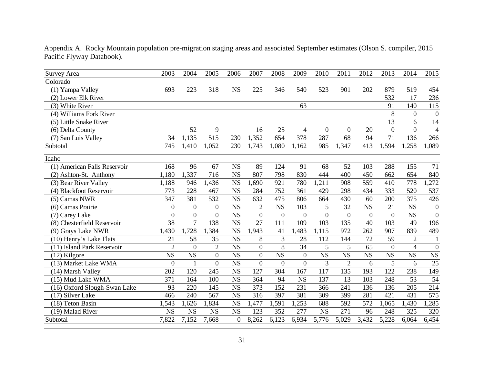| Survey Area                          | 2003                   | 2004             | 2005             | 2006                   | 2007             | 2008                   | 2009            | 2010                   | 2011                   | 2012                   | 2013            | 2014             | 2015                   |
|--------------------------------------|------------------------|------------------|------------------|------------------------|------------------|------------------------|-----------------|------------------------|------------------------|------------------------|-----------------|------------------|------------------------|
| Colorado                             |                        |                  |                  |                        |                  |                        |                 |                        |                        |                        |                 |                  |                        |
| (1) Yampa Valley                     | 693                    | 223              | 318              | <b>NS</b>              | 225              | 346                    | 540             | 523                    | 901                    | 202                    | 879             | 519              | 454                    |
| (2) Lower Elk River                  |                        |                  |                  |                        |                  |                        |                 |                        |                        |                        | 532             | 17               | 236                    |
| (3) White River                      |                        |                  |                  |                        |                  |                        | 63              |                        |                        |                        | 91              | 140              | $\overline{115}$       |
| (4) Williams Fork River              |                        |                  |                  |                        |                  |                        |                 |                        |                        |                        | 8               | $\theta$         | $\boldsymbol{0}$       |
| (5) Little Snake River               |                        |                  |                  |                        |                  |                        |                 |                        |                        |                        | 13              | 6                | 14                     |
| (6) Delta County                     |                        | 52               | 9                |                        | 16               | 25                     | $\overline{4}$  | $\overline{0}$         | $\overline{0}$         | 20                     | $\overline{0}$  | $\Omega$         | $\overline{4}$         |
| (7) San Luis Valley                  | 34                     | 1,135            | 515              | 230                    | 1,352            | 654                    | 378             | 287                    | $\overline{68}$        | 94                     | $\overline{71}$ | 136              | 266                    |
| Subtotal                             | 745                    | 1,410            | 1,052            | 230                    | 1,743            | 1,080                  | 1,162           | 985                    | 1,347                  | 413                    | 1,594           | 1,258            | 1,089                  |
| Idaho                                |                        |                  |                  |                        |                  |                        |                 |                        |                        |                        |                 |                  |                        |
| (1) American Falls Reservoir         | 168                    | 96               | 67               | <b>NS</b>              | 89               | 124                    | 91              | 68                     | 52                     | 103                    | 288             | 155              | 71                     |
| (2) Ashton-St. Anthony               | 1,180                  | , 337            | $\overline{716}$ | $\overline{\text{NS}}$ | 807              | 798                    | 830             | 444                    | $\overline{400}$       | $\overline{450}$       | 662             | $\overline{654}$ | 840                    |
| (3) Bear River Valley                | 1,188                  | 946              | 1,436            | <b>NS</b>              | 1,690            | 921                    | 780             | ,211                   | 908                    | 559                    | 410             | 778              | ,272                   |
| (4) Blackfoot Reservoir              | 773                    | 228              | 467              | <b>NS</b>              | 284              | 752                    | 361             | 429                    | 298                    | 434                    | 333             | 520              | 537                    |
| (5) Camas NWR                        | 347                    | 381              | 532              | <b>NS</b>              | 632              | 475                    | 806             | 664                    | 430                    | 60                     | 200             | 375              | 426                    |
| (6) Camas Prairie                    | $\boldsymbol{0}$       | $\boldsymbol{0}$ | $\boldsymbol{0}$ | <b>NS</b>              | $\overline{c}$   | $\overline{\text{NS}}$ | 103             | 5                      | $\overline{32}$        | <b>NS</b>              | $\overline{21}$ | <b>NS</b>        | $\boldsymbol{0}$       |
| (7) Carey Lake                       | $\overline{0}$         | $\overline{0}$   | $\overline{0}$   | <b>NS</b>              | $\overline{0}$   | $\overline{0}$         | $\overline{0}$  | $\overline{0}$         | $\overline{0}$         | $\boldsymbol{0}$       | $\overline{0}$  | <b>NS</b>        | $\overline{0}$         |
| (8) Chesterfield Reservoir           | $\overline{38}$        | $\overline{7}$   | 138              | <b>NS</b>              | $\overline{27}$  | 111                    | 109             | 103                    | $\overline{135}$       | $\overline{40}$        | 103             | 49               | 196                    |
| (9) Grays Lake NWR                   | 1,430                  | 1,728            | 1,384            | <b>NS</b>              | 1,943            | 41                     | 1,483           | 1,115                  | 972                    | 262                    | 907             | 839              | 489                    |
| $\overline{(10)}$ Henry's Lake Flats | 21                     | $\overline{58}$  | $\overline{35}$  | <b>NS</b>              | 8                | 3                      | 28              | 112                    | 144                    | $\overline{72}$        | $\overline{59}$ | 2                | $\mathbf{1}$           |
| (11) Island Park Reservoir           | $\overline{2}$         | $\overline{0}$   | $\overline{2}$   | <b>NS</b>              | $\overline{0}$   | $\overline{8}$         | $\overline{34}$ | 5                      | 5                      | $\overline{65}$        | $\overline{0}$  | $\overline{4}$   | $\overline{0}$         |
| (12) Kilgore                         | $\overline{\text{NS}}$ | <b>NS</b>        | $\boldsymbol{0}$ | <b>NS</b>              | $\boldsymbol{0}$ | $\overline{\text{NS}}$ | $\overline{0}$  | $\overline{\text{NS}}$ | $\overline{\text{NS}}$ | $\overline{\text{NS}}$ | <b>NS</b>       | <b>NS</b>        | $\overline{\text{NS}}$ |
| $\overline{(13)}$ Market Lake WMA    | $\overline{0}$         | $\mathbf{1}$     | $\overline{0}$   | <b>NS</b>              | $\overline{0}$   | $\theta$               | $\overline{0}$  | 3                      | $\overline{2}$         | 6                      | 5               | 6                | $\overline{25}$        |
| (14) Marsh Valley                    | 202                    | 120              | 245              | <b>NS</b>              | 127              | 304                    | 167             | 117                    | 135                    | 193                    | 122             | 238              | 149                    |
| (15) Mud Lake WMA                    | 371                    | 164              | 100              | <b>NS</b>              | 364              | 94                     | <b>NS</b>       | 137                    | 13                     | 103                    | 248             | 53               | 54                     |
| (16) Oxford Slough-Swan Lake         | 93                     | 220              | 145              | <b>NS</b>              | 373              | 152                    | 231             | 366                    | 241                    | 136                    | 136             | 205              | 214                    |
| (17) Silver Lake                     | 466                    | 240              | 567              | $\overline{\text{NS}}$ | 316              | 397                    | 381             | 309                    | 399                    | 281                    | 421             | 431              | 575                    |
| (18) Teton Basin                     | ,543                   | 1,626            | 1,834            | <b>NS</b>              | 1,477            | 1,591                  | 1,253           | 688                    | 592                    | 572                    | 1,065           | 1,430            | ,285                   |
| (19) Malad River                     | <b>NS</b>              | <b>NS</b>        | <b>NS</b>        | <b>NS</b>              | 123              | 352                    | 277             | $\overline{\text{NS}}$ | $\overline{271}$       | 96                     | 248             | 325              | 320                    |
| Subtotal                             | 7,822                  | 7,152            | 7,668            | $\overline{0}$         | 8,262            | 6,123                  | 6,934           | 5,776                  | 5,029                  | 3,432                  | 5,228           | 6,064            | 6,454                  |
|                                      |                        |                  |                  |                        |                  |                        |                 |                        |                        |                        |                 |                  |                        |

Appendix A. Rocky Mountain population pre-migration staging areas and associated September estimates (Olson S. compiler, 2015 Pacific Flyway Databook).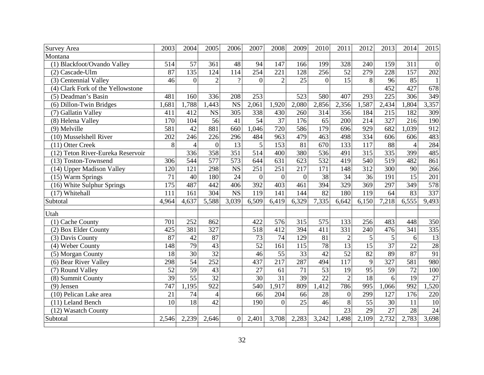| <b>Survey Area</b>                         | 2003             | 2004            | 2005             | 2006                   | 2007            | 2008             | 2009            | 2010             | 2011             | 2012             | 2013             | 2014               | 2015            |
|--------------------------------------------|------------------|-----------------|------------------|------------------------|-----------------|------------------|-----------------|------------------|------------------|------------------|------------------|--------------------|-----------------|
| Montana                                    |                  |                 |                  |                        |                 |                  |                 |                  |                  |                  |                  |                    |                 |
| (1) Blackfoot/Ovando Valley                | 514              | 57              | 361              | 48                     | 94              | 147              | 166             | 199              | 328              | 240              | 159              | 311                | $\mathbf{0}$    |
| (2) Cascade-Ulm                            | 87               | 135             | 124              | 114                    | 254             | $\overline{221}$ | 128             | $\overline{256}$ | $\overline{52}$  | 279              | $\overline{228}$ | 157                | 202             |
| (3) Centennial Valley                      | 46               | $\overline{0}$  | $\overline{2}$   | $\gamma$               | $\theta$        | $\overline{2}$   | $\overline{25}$ | $\Omega$         | $\overline{15}$  | 8                | $\overline{96}$  | 85                 | $\mathbf{1}$    |
| (4) Clark Fork of the Yellowstone          |                  |                 |                  |                        |                 |                  |                 |                  |                  |                  | 452              | 427                | 678             |
| (5) Deadman's Basin                        | 481              | 160             | 336              | 208                    | 253             |                  | 523             | 580              | 407              | 293              | $\overline{225}$ | 306                | 349             |
| (6) Dillon-Twin Bridges                    | ,681             | ,788            | ,443             | <b>NS</b>              | 2,061           | 1,920            | 2,080           | 2,856            | 2,356            | 1,587            | 2,434            | 1,804              | 3,357           |
| (7) Gallatin Valley                        | 411              | 412             | <b>NS</b>        | $\overline{305}$       | 338             | 430              | 260             | 314              | 356              | 184              | 215              | 182                | 309             |
| (8) Helena Valley                          | 170              | 104             | $\overline{56}$  | $\overline{41}$        | 54              | $\overline{37}$  | 176             | $\overline{65}$  | 200              | 214              | 327              | 216                | 190             |
| (9) Melville                               | 581              | 42              | 881              | 660                    | ,046            | 720              | 586             | 179              | 696              | 929              | 682              | ,039               | 912             |
| (10) Musselshell River                     | 202              | 246             | $\overline{226}$ | 296                    | 484             | 963              | 479             | 463              | 498              | 334              | 606              | 606                | 483             |
| (11) Otter Creek                           | 8                | $\overline{4}$  | $\mathbf{0}$     | 13                     | 5               | 153              | 81              | 670              | 133              | $11\overline{7}$ | 88               | $\overline{4}$     | 284             |
| (12) Teton River-Eureka Reservoir          |                  | 336             | 358              | $\overline{351}$       | 514             | 400              | 380             | 536              | 491              | 315              | 335              | 399                | 485             |
| (13) Toston-Townsend                       | 306              | 544             | $\overline{577}$ | $\overline{573}$       | 644             | 631              | 623             | $\overline{532}$ | 419              | 540              | $\frac{519}{ }$  | 482                | 861             |
| (14) Upper Madison Valley                  | 120              | 121             | 298              | $\overline{\text{NS}}$ | 251             | 251              | 217             | 171              | 148              | $\overline{312}$ | $\overline{300}$ | 90                 | 266             |
| $(15)$ Warm Springs                        | 71               | 40              | 180              | 24                     | $\Omega$        | $\overline{0}$   | $\overline{0}$  | $\overline{38}$  | $\overline{34}$  | $\overline{36}$  | 191              | 15                 | 201             |
| (16) White Sulphur Springs                 | $\overline{175}$ | 487             | 442              | 406                    | 392             | 403              | 461             | 394              | 329              | 369              | 297              | 349                | 578             |
| (17) Whitehall                             | 111              | 161             | 304              | $\overline{\text{NS}}$ | 119             | 141              | 144             | $\overline{82}$  | 180              | 119              | 64               | 83                 | 337             |
| Subtotal                                   | 4,964            | 4,637           | 5,588            | 3,039                  | 6,509           | 6,419            | 6,329           | 7,335            | 6,642            | 6,150            | 7,218            | $6,55\overline{5}$ | 9,493           |
| Utah                                       |                  |                 |                  |                        |                 |                  |                 |                  |                  |                  |                  |                    |                 |
| (1) Cache County                           | 701              | 252             | 862              |                        | 422             | 576              | 315             | 575              | 133              | 256              | 483              | 448                | 350             |
|                                            | 425              | 381             | 327              |                        | 518             | 412              | 394             | 411              | 331              | 240              | 476              | $\overline{341}$   | 335             |
| (2) Box Elder County<br>(3) Davis County   | $\overline{87}$  | $\overline{42}$ | $\overline{87}$  |                        | $\overline{73}$ | $\overline{74}$  | 129             | $\overline{81}$  | $\overline{2}$   | 5                | 5                |                    | $\overline{13}$ |
| (4) Weber County                           | 148              | $\overline{79}$ | $\overline{43}$  |                        | 52              | 161              | 115             | $\overline{78}$  | $\overline{13}$  | $\overline{15}$  | 37               | 6<br>22            | 28              |
|                                            | 18               | $\overline{30}$ | $\overline{32}$  |                        | 46              | $\overline{55}$  | $\overline{33}$ | 42               | $\overline{52}$  | $\overline{82}$  | 89               | $\overline{87}$    | 91              |
| (5) Morgan County<br>(6) Bear River Valley | 298              | $\overline{54}$ | 252              |                        | 437             | $\overline{217}$ | 287             | 494              | $\overline{117}$ | 9                | 327              | 581                | 980             |
|                                            | $\overline{52}$  | 59              | 43               |                        | 27              | 61               | 71              | $\overline{53}$  | 19               | 95               | 59               | 72                 | 100             |
| (7) Round Valley<br>(8) Summit County      | 39               | $\overline{55}$ | 32               |                        | $\overline{30}$ | $\overline{31}$  | 39              | $\overline{22}$  | $\overline{2}$   | $\overline{18}$  | 6                | $\overline{19}$    | $\overline{27}$ |
|                                            | 747              | 1,195           | 922              |                        |                 | 1,917            | 809             | ,412             | 786              | 995              |                  | 992                | ,520            |
| $(9)$ Jensen                               |                  |                 |                  |                        | 540             |                  |                 |                  |                  |                  | 1,066            |                    |                 |
| (10) Pelican Lake area                     | 21               | 74              | $\overline{4}$   |                        | 66              | 204              | 66              | 28               | $\overline{0}$   | 299              | 127              | 176                | 220             |
| (11) Leland Bench                          | 10               | 18              | $\overline{42}$  |                        | 190             | $\overline{0}$   | $\overline{25}$ | 46               | 8                | $\overline{55}$  | $\overline{30}$  | 11                 | $\overline{10}$ |
| (12) Wasatch County                        |                  |                 |                  |                        |                 |                  |                 |                  | $\overline{23}$  | 29               | $\overline{27}$  | 28                 | $\overline{24}$ |
| Subtotal                                   | 2,546            | 2,239           | 2,646            | $\overline{0}$         | 2,401           | 3,708            | 2,283           | 3,242            | 1,498            | 2,109            | 2,732            | 2,783              | 3,698           |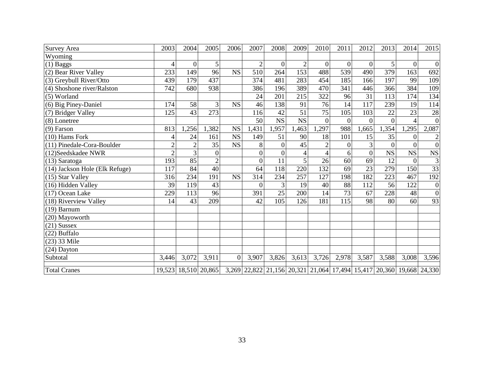| Survey Area                    | 2003           | 2004             | 2005            | 2006      | 2007             | 2008           | 2009                                                                                      | 2010            | 2011            | 2012            | 2013        | 2014           | 2015                    |
|--------------------------------|----------------|------------------|-----------------|-----------|------------------|----------------|-------------------------------------------------------------------------------------------|-----------------|-----------------|-----------------|-------------|----------------|-------------------------|
| Wyoming                        |                |                  |                 |           |                  |                |                                                                                           |                 |                 |                 |             |                |                         |
| $(1)$ Baggs                    | 4              | $\boldsymbol{0}$ | 5               |           | $\overline{2}$   | $\overline{0}$ | $\overline{2}$                                                                            | $\theta$        | $\theta$        | $\theta$        | 5           | $\theta$       | $\mathbf{0}$            |
| (2) Bear River Valley          | 233            | 149              | $\overline{96}$ | <b>NS</b> | 510              | 264            | 153                                                                                       | 488             | 539             | 490             | 379         | 163            | 692                     |
| (3) Greybull River/Otto        | 439            | 179              | 437             |           | 374              | 481            | 283                                                                                       | 454             | 185             | 166             | 197         | 99             | 109                     |
| (4) Shoshone river/Ralston     | 742            | 680              | 938             |           | 386              | 196            | 389                                                                                       | 470             | 341             | 446             | 366         | 384            | 109                     |
| (5) Worland                    |                |                  |                 |           | 24               | 201            | 215                                                                                       | 322             | 96              | 31              | 113         | 174            | 134                     |
| (6) Big Piney-Daniel           | 174            | 58               | 3               | <b>NS</b> | 46               | 138            | 91                                                                                        | 76              | 14              | 117             | 239         | 19             | 114                     |
| (7) Bridger Valley             | 125            | 43               | 273             |           | 116              | 42             | $\overline{51}$                                                                           | $\overline{75}$ | 105             | 103             | 22          | 23             | 28                      |
| (8) Lonetree                   |                |                  |                 |           | 50               | <b>NS</b>      | <b>NS</b>                                                                                 | $\overline{0}$  | $\mathbf{0}$    | $\overline{0}$  | $\Omega$    |                | $\theta$                |
| $(9)$ Farson                   | 813            | 1,256            | 1,382           | <b>NS</b> | 1,431            | 1,957          | 1,463                                                                                     | 1,297           | 988             | 1,665           | 1,354       | 1,295          | 2,087                   |
| (10) Hams Fork                 | 4              | 24               | 161             | <b>NS</b> | 149              | 51             | 90                                                                                        | 18              | 101             | 15              | 35          | $\Omega$       | $\overline{\mathbf{c}}$ |
| (11) Pinedale-Cora-Boulder     | $\overline{2}$ | $\overline{2}$   | 35              | <b>NS</b> | 8                | $\overline{0}$ | 45                                                                                        | $\overline{2}$  | $\overline{0}$  | 3               | $\theta$    | $\theta$       | $\mathbf{0}$            |
| (12) Seedskadee NWR            | $\overline{2}$ | 3                | $\mathbf{0}$    |           | $\overline{0}$   | $\theta$       |                                                                                           |                 | 6               | $\overline{0}$  | $_{\rm NS}$ | NS             | ${\rm NS}$              |
| (13) Saratoga                  | 193            | 85               | $\overline{2}$  |           | $\overline{0}$   | 11             | 5                                                                                         | 26              | $\overline{60}$ | 69              | 12          | $\overline{0}$ | $\overline{3}$          |
| (14) Jackson Hole (Elk Refuge) | 117            | 84               | $\overline{40}$ |           | 64               | 118            | 220                                                                                       | 132             | 69              | $\overline{23}$ | 279         | 150            | $\overline{33}$         |
| (15) Star Valley               | 316            | 234              | 191             | <b>NS</b> | $\overline{314}$ | 234            | 257                                                                                       | 127             | 198             | 182             | 223         | 467            | 192                     |
| (16) Hidden Valley             | 39             | 119              | 43              |           | $\overline{0}$   | 3              | 19                                                                                        | 40              | 88              | 112             | 56          | 122            | $\boldsymbol{0}$        |
| (17) Ocean Lake                | 229            | 113              | 96              |           | 391              | 25             | 200                                                                                       | 14              | 73              | 67              | 228         | 48             | $\boldsymbol{0}$        |
| (18) Riverview Valley          | 14             | 43               | 209             |           | 42               | 105            | 126                                                                                       | 181             | 115             | 98              | 80          | 60             | $\overline{93}$         |
| $(19)$ Barnum                  |                |                  |                 |           |                  |                |                                                                                           |                 |                 |                 |             |                |                         |
| (20) Mayoworth                 |                |                  |                 |           |                  |                |                                                                                           |                 |                 |                 |             |                |                         |
| $(21)$ Sussex                  |                |                  |                 |           |                  |                |                                                                                           |                 |                 |                 |             |                |                         |
| $(22)$ Buffalo                 |                |                  |                 |           |                  |                |                                                                                           |                 |                 |                 |             |                |                         |
| $(23)$ 33 Mile                 |                |                  |                 |           |                  |                |                                                                                           |                 |                 |                 |             |                |                         |
| (24) Dayton                    |                |                  |                 |           |                  |                |                                                                                           |                 |                 |                 |             |                |                         |
| Subtotal                       | 3,446          | 3,072            | 3,911           | $\Omega$  | 3,907            | 3,826          | 3,613                                                                                     | 3,726           | 2,978           | 3,587           | 3,588       | 3,008          | 3,596                   |
| <b>Total Cranes</b>            |                |                  |                 |           |                  |                | 19,523 18,510 20,865 3,269 22,822 21,156 20,321 21,064 17,494 15,417 20,360 19,668 24,330 |                 |                 |                 |             |                |                         |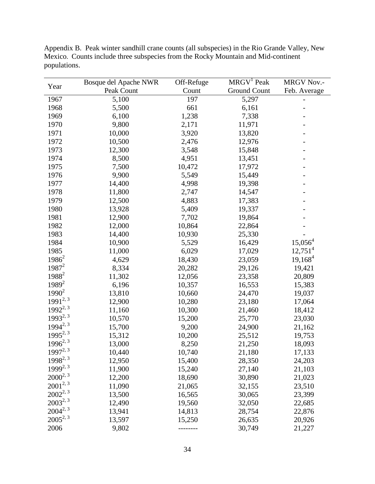Year Bosque del Apache NWR Peak Count Off-Refuge Count MRGV<sup>1</sup> Peak Ground Count MRGV Nov.- Feb. Average 1967 5,100 197 5,297 1968 5,500 661 6,161 -1969 6,100 1,238 7,338 1970 9,800 2,171 11,971 -1971 10,000 3,920 13,820 1972 10,500 2,476 12,976 -1973 12,300 3,548 15,848 -1974 8,500 4,951 13,451 1975 7,500 10,472 17,972 1976 9,900 5,549 15,449 -1977 14,400 4,998 19,398 -1978 11,800 2,747 14,547 1979 12,500 4,883 17,383 1980 13,928 5,409 19,337 1981 12,900 7,702 19,864 -1982 12,000 10,864 22,864 -1983 14,400 10,930 25,330 1984 10,900 5,529 16,429 15,056<sup>4</sup> 1985 11,000 6,029 17,029 12,751<sup>4</sup>  $1986^2$  4,629 18,430 23,059 19,168<sup>4</sup>  $1987<sup>2</sup>$  8,334 20,282 29,126 19,421 1988<sup>2</sup> 11,302 12,056 23,358 20,809  $1989<sup>2</sup>$  6,196 10,357 16,553 15,383  $1990^2$  13,810 10,660 24,470 19,037 1991<sup>2, 3</sup> 12,900 10,280 23,180 17,064  $1992^{2,3}$  11,160 10,300 21,460 18,412  $1993^{2,3}$  10,570 15,200 25,770 23,030  $1994^{2,3}$  15,700 9,200 24,900 21,162  $1995^{2,3}$  15,312 10,200 25,512 19,753  $1996^{2,3}$  13,000 8,250 21,250 18,093  $1997^{2,3}$  10,440 10,740 21,180 17,133 1998<sup>2, 3</sup> 12,950 15,400 28,350 24,203  $1999^{2,3}$  11,900 15,240 27,140 21,103  $2000^{2,3}$  12,200 18,690 30,890 21,023  $2001^{2,3}$  11,090 21,065 32,155 23,510  $2002^{2,3}$  13,500 16,565 30,065 23,399  $2003^{2,3}$  12,490 19,560 32,050 22,685  $2004^{2,3}$  13,941 14,813 28,754 22,876  $2005^{2,3}$  13,597 15,250 26,635 20,926 2006 9,802 -------- 30,749 21,227

Appendix B. Peak winter sandhill crane counts (all subspecies) in the Rio Grande Valley, New Mexico. Counts include three subspecies from the Rocky Mountain and Mid-continent populations.